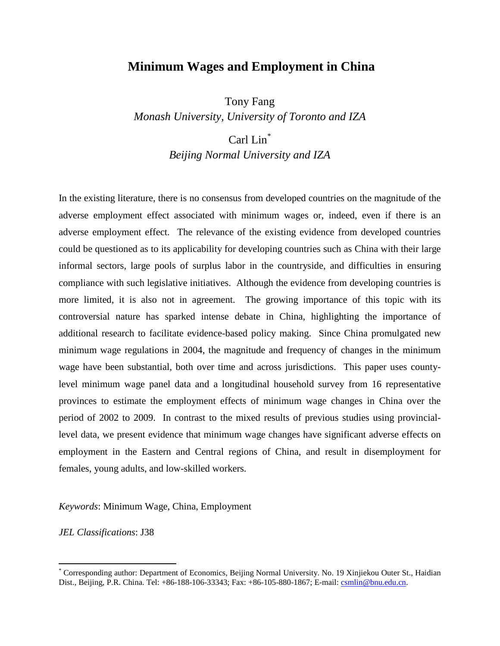# **Minimum Wages and Employment in China**

Tony Fang *Monash University, University of Toronto and IZA*

# Carl Lin<sup>[\\*](#page-0-0)</sup>

*Beijing Normal University and IZA*

In the existing literature, there is no consensus from developed countries on the magnitude of the adverse employment effect associated with minimum wages or, indeed, even if there is an adverse employment effect. The relevance of the existing evidence from developed countries could be questioned as to its applicability for developing countries such as China with their large informal sectors, large pools of surplus labor in the countryside, and difficulties in ensuring compliance with such legislative initiatives. Although the evidence from developing countries is more limited, it is also not in agreement. The growing importance of this topic with its controversial nature has sparked intense debate in China, highlighting the importance of additional research to facilitate evidence-based policy making. Since China promulgated new minimum wage regulations in 2004, the magnitude and frequency of changes in the minimum wage have been substantial, both over time and across jurisdictions. This paper uses countylevel minimum wage panel data and a longitudinal household survey from 16 representative provinces to estimate the employment effects of minimum wage changes in China over the period of 2002 to 2009. In contrast to the mixed results of previous studies using provinciallevel data, we present evidence that minimum wage changes have significant adverse effects on employment in the Eastern and Central regions of China, and result in disemployment for females, young adults, and low-skilled workers.

*Keywords*: Minimum Wage, China, Employment

*JEL Classifications*: J38

<span id="page-0-0"></span> <sup>\*</sup> Corresponding author: Department of Economics, Beijing Normal University. No. 19 Xinjiekou Outer St., Haidian Dist., Beijing, P.R. China. Tel: +86-188-106-33343; Fax: +86-105-880-1867; E-mail[: csmlin@bnu.edu.cn.](mailto:csmlin@hotmail.com.tw)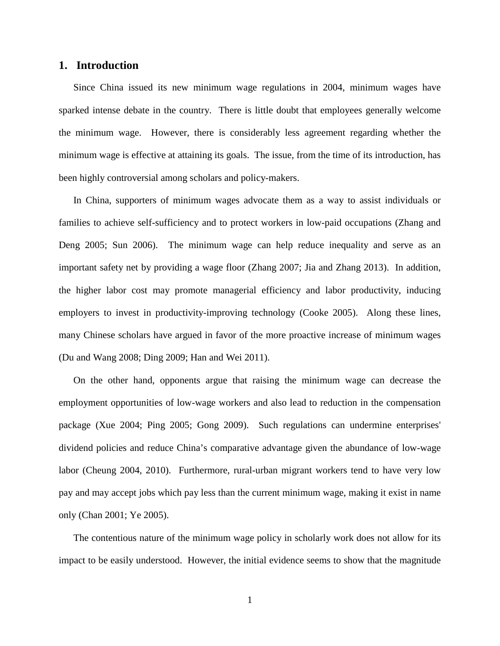# <span id="page-1-0"></span>**1. Introduction**

Since China issued its new minimum wage regulations in 2004, minimum wages have sparked intense debate in the country. There is little doubt that employees generally welcome the minimum wage. However, there is considerably less agreement regarding whether the minimum wage is effective at attaining its goals. The issue, from the time of its introduction, has been highly controversial among scholars and policy-makers.

In China, supporters of minimum wages advocate them as a way to assist individuals or families to achieve self-sufficiency and to protect workers in low-paid occupations (Zhang and Deng 2005; Sun 2006). The minimum wage can help reduce inequality and serve as an important safety net by providing a wage floor (Zhang 2007; Jia and Zhang 2013). In addition, the higher labor cost may promote managerial efficiency and labor productivity, inducing employers to invest in productivity-improving technology (Cooke 2005). Along these lines, many Chinese scholars have argued in favor of the more proactive increase of minimum wages (Du and Wang 2008; Ding 2009; Han and Wei 2011).

On the other hand, opponents argue that raising the minimum wage can decrease the employment opportunities of low-wage workers and also lead to reduction in the compensation package (Xue 2004; Ping 2005; Gong 2009). Such regulations can undermine enterprises' dividend policies and reduce China's comparative advantage given the abundance of low-wage labor (Cheung 2004, 2010). Furthermore, rural-urban migrant workers tend to have very low pay and may accept jobs which pay less than the current minimum wage, making it exist in name only (Chan 2001; Ye 2005).

The contentious nature of the minimum wage policy in scholarly work does not allow for its impact to be easily understood. However, the initial evidence seems to show that the magnitude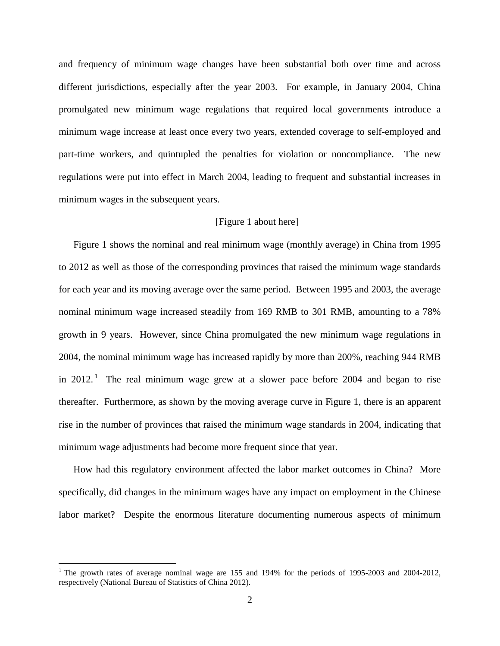and frequency of minimum wage changes have been substantial both over time and across different jurisdictions, especially after the year 2003. For example, in January 2004, China promulgated new minimum wage regulations that required local governments introduce a minimum wage increase at least once every two years, extended coverage to self-employed and part-time workers, and quintupled the penalties for violation or noncompliance. The new regulations were put into effect in March 2004, leading to frequent and substantial increases in minimum wages in the subsequent years.

### [\[Figure 1](#page-40-0) about here]

[Figure 1](#page-40-0) shows the nominal and real minimum wage (monthly average) in China from 1995 to 2012 as well as those of the corresponding provinces that raised the minimum wage standards for each year and its moving average over the same period. Between 1995 and 2003, the average nominal minimum wage increased steadily from 169 RMB to 301 RMB, amounting to a 78% growth in 9 years. However, since China promulgated the new minimum wage regulations in 2004, the nominal minimum wage has increased rapidly by more than 200%, reaching 944 RMB in 20[1](#page-0-0)2.<sup>1</sup> The real minimum wage grew at a slower pace before 2004 and began to rise thereafter. Furthermore, as shown by the moving average curve in [Figure 1,](#page-40-0) there is an apparent rise in the number of provinces that raised the minimum wage standards in 2004, indicating that minimum wage adjustments had become more frequent since that year.

<span id="page-2-0"></span>How had this regulatory environment affected the labor market outcomes in China? More specifically, did changes in the minimum wages have any impact on employment in the Chinese labor market? Despite the enormous literature documenting numerous aspects of minimum

<sup>&</sup>lt;sup>1</sup> The growth rates of average nominal wage are 155 and 194% for the periods of 1995-2003 and 2004-2012, respectively (National Bureau of Statistics of China 2012).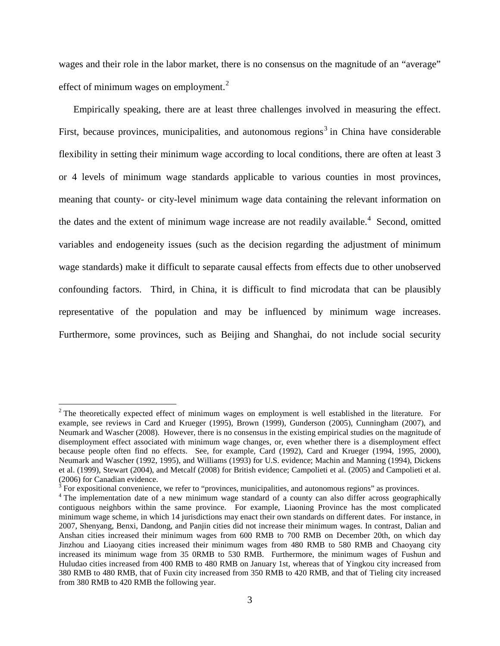wages and their role in the labor market, there is no consensus on the magnitude of an "average" effect of minimum wages on employment. $<sup>2</sup>$  $<sup>2</sup>$  $<sup>2</sup>$ </sup>

Empirically speaking, there are at least three challenges involved in measuring the effect. First, because provinces, municipalities, and autonomous regions<sup>[3](#page-3-0)</sup> in China have considerable flexibility in setting their minimum wage according to local conditions, there are often at least 3 or 4 levels of minimum wage standards applicable to various counties in most provinces, meaning that county- or city-level minimum wage data containing the relevant information on the dates and the extent of minimum wage increase are not readily available.<sup>[4](#page-3-1)</sup> Second, omitted variables and endogeneity issues (such as the decision regarding the adjustment of minimum wage standards) make it difficult to separate causal effects from effects due to other unobserved confounding factors. Third, in China, it is difficult to find microdata that can be plausibly representative of the population and may be influenced by minimum wage increases. Furthermore, some provinces, such as Beijing and Shanghai, do not include social security

<sup>&</sup>lt;sup>2</sup> The theoretically expected effect of minimum wages on employment is well established in the literature. For example, see reviews in Card and Krueger (1995), Brown (1999), Gunderson (2005), Cunningham (2007), and Neumark and Wascher (2008). However, there is no consensus in the existing empirical studies on the magnitude of disemployment effect associated with minimum wage changes, or, even whether there is a disemployment effect because people often find no effects. See, for example, Card (1992), Card and Krueger (1994, 1995, 2000), Neumark and Wascher (1992, 1995), and Williams (1993) for U.S. evidence; Machin and Manning (1994), Dickens et al. (1999), Stewart (2004), and Metcalf (2008) for British evidence; Campolieti et al. (2005) and Campolieti et al.

<span id="page-3-2"></span>

<span id="page-3-1"></span><span id="page-3-0"></span> $3$  For expositional convenience, we refer to "provinces, municipalities, and autonomous regions" as provinces.<br> $4$  The implementation date of a new minimum wage standard of a county can also differ across geographically contiguous neighbors within the same province. For example, Liaoning Province has the most complicated minimum wage scheme, in which 14 jurisdictions may enact their own standards on different dates. For instance, in 2007, Shenyang, Benxi, Dandong, and Panjin cities did not increase their minimum wages. In contrast, Dalian and Anshan cities increased their minimum wages from 600 RMB to 700 RMB on December 20th, on which day Jinzhou and Liaoyang cities increased their minimum wages from 480 RMB to 580 RMB and Chaoyang city increased its minimum wage from 35 0RMB to 530 RMB. Furthermore, the minimum wages of Fushun and Huludao cities increased from 400 RMB to 480 RMB on January 1st, whereas that of Yingkou city increased from 380 RMB to 480 RMB, that of Fuxin city increased from 350 RMB to 420 RMB, and that of Tieling city increased from 380 RMB to 420 RMB the following year.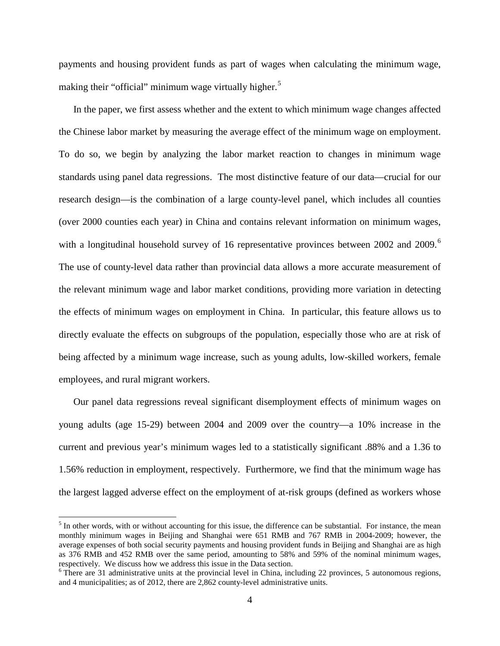payments and housing provident funds as part of wages when calculating the minimum wage, making their "official" minimum wage virtually higher.<sup>[5](#page-3-2)</sup>

In the paper, we first assess whether and the extent to which minimum wage changes affected the Chinese labor market by measuring the average effect of the minimum wage on employment. To do so, we begin by analyzing the labor market reaction to changes in minimum wage standards using panel data regressions. The most distinctive feature of our data—crucial for our research design—is the combination of a large county-level panel, which includes all counties (over 2000 counties each year) in China and contains relevant information on minimum wages, with a longitudinal household survey of 1[6](#page-4-0) representative provinces between 2002 and 2009.<sup>6</sup> The use of county-level data rather than provincial data allows a more accurate measurement of the relevant minimum wage and labor market conditions, providing more variation in detecting the effects of minimum wages on employment in China. In particular, this feature allows us to directly evaluate the effects on subgroups of the population, especially those who are at risk of being affected by a minimum wage increase, such as young adults, low-skilled workers, female employees, and rural migrant workers.

Our panel data regressions reveal significant disemployment effects of minimum wages on young adults (age 15-29) between 2004 and 2009 over the country—a 10% increase in the current and previous year's minimum wages led to a statistically significant .88% and a 1.36 to 1.56% reduction in employment, respectively. Furthermore, we find that the minimum wage has the largest lagged adverse effect on the employment of at-risk groups (defined as workers whose

 $<sup>5</sup>$  In other words, with or without accounting for this issue, the difference can be substantial. For instance, the mean</sup> monthly minimum wages in Beijing and Shanghai were 651 RMB and 767 RMB in 2004-2009; however, the average expenses of both social security payments and housing provident funds in Beijing and Shanghai are as high as 376 RMB and 452 RMB over the same period, amounting to 58% and 59% of the nominal minimum wages, respectively. We discuss how we address this issue in the Data section.

<span id="page-4-1"></span><span id="page-4-0"></span> $6$  There are 31 administrative units at the provincial level in China, including 22 provinces, 5 autonomous regions, and 4 municipalities; as of 2012, there are 2,862 county-level administrative units.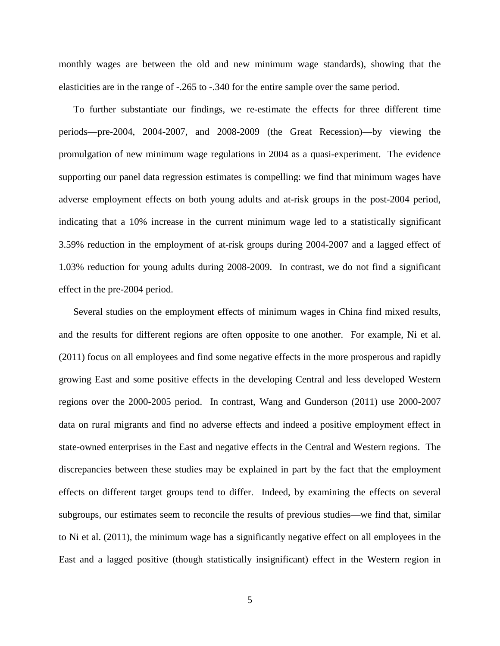monthly wages are between the old and new minimum wage standards), showing that the elasticities are in the range of -.265 to -.340 for the entire sample over the same period.

To further substantiate our findings, we re-estimate the effects for three different time periods—pre-2004, 2004-2007, and 2008-2009 (the Great Recession)—by viewing the promulgation of new minimum wage regulations in 2004 as a quasi-experiment. The evidence supporting our panel data regression estimates is compelling: we find that minimum wages have adverse employment effects on both young adults and at-risk groups in the post-2004 period, indicating that a 10% increase in the current minimum wage led to a statistically significant 3.59% reduction in the employment of at-risk groups during 2004-2007 and a lagged effect of 1.03% reduction for young adults during 2008-2009. In contrast, we do not find a significant effect in the pre-2004 period.

Several studies on the employment effects of minimum wages in China find mixed results, and the results for different regions are often opposite to one another. For example, Ni et al. (2011) focus on all employees and find some negative effects in the more prosperous and rapidly growing East and some positive effects in the developing Central and less developed Western regions over the 2000-2005 period. In contrast, Wang and Gunderson (2011) use 2000-2007 data on rural migrants and find no adverse effects and indeed a positive employment effect in state-owned enterprises in the East and negative effects in the Central and Western regions. The discrepancies between these studies may be explained in part by the fact that the employment effects on different target groups tend to differ. Indeed, by examining the effects on several subgroups, our estimates seem to reconcile the results of previous studies—we find that, similar to Ni et al. (2011), the minimum wage has a significantly negative effect on all employees in the East and a lagged positive (though statistically insignificant) effect in the Western region in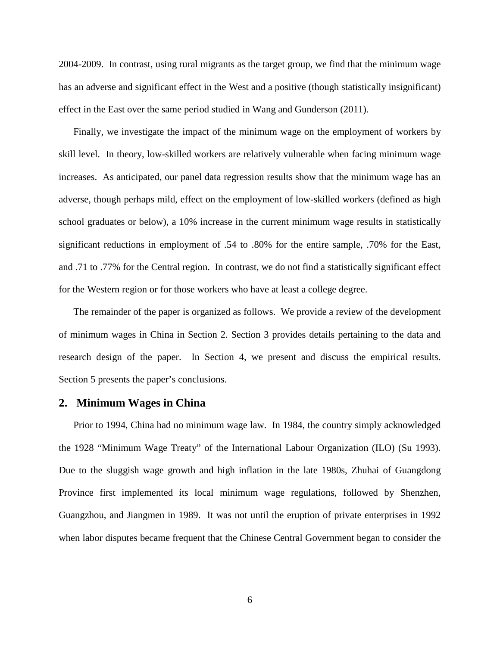2004-2009. In contrast, using rural migrants as the target group, we find that the minimum wage has an adverse and significant effect in the West and a positive (though statistically insignificant) effect in the East over the same period studied in Wang and Gunderson (2011).

Finally, we investigate the impact of the minimum wage on the employment of workers by skill level. In theory, low-skilled workers are relatively vulnerable when facing minimum wage increases. As anticipated, our panel data regression results show that the minimum wage has an adverse, though perhaps mild, effect on the employment of low-skilled workers (defined as high school graduates or below), a 10% increase in the current minimum wage results in statistically significant reductions in employment of .54 to .80% for the entire sample, .70% for the East, and .71 to .77% for the Central region. In contrast, we do not find a statistically significant effect for the Western region or for those workers who have at least a college degree.

The remainder of the paper is organized as follows. We provide a review of the development of minimum wages in China in Section [2.](#page-6-0) Section [3](#page-8-0) provides details pertaining to the data and research design of the paper. In Section [4,](#page-15-0) we present and discuss the empirical results. Section [5](#page-24-0) presents the paper's conclusions.

### <span id="page-6-0"></span>**2. Minimum Wages in China**

Prior to 1994, China had no minimum wage law. In 1984, the country simply acknowledged the 1928 "Minimum Wage Treaty" of the International Labour Organization (ILO) (Su 1993). Due to the sluggish wage growth and high inflation in the late 1980s, Zhuhai of Guangdong Province first implemented its local minimum wage regulations, followed by Shenzhen, Guangzhou, and Jiangmen in 1989. It was not until the eruption of private enterprises in 1992 when labor disputes became frequent that the Chinese Central Government began to consider the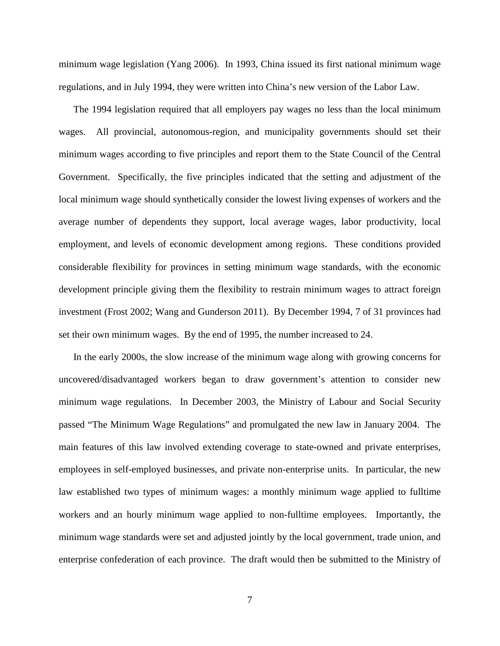minimum wage legislation (Yang 2006). In 1993, China issued its first national minimum wage regulations, and in July 1994, they were written into China's new version of the Labor Law.

The 1994 legislation required that all employers pay wages no less than the local minimum wages. All provincial, autonomous-region, and municipality governments should set their minimum wages according to five principles and report them to the State Council of the Central Government. Specifically, the five principles indicated that the setting and adjustment of the local minimum wage should synthetically consider the lowest living expenses of workers and the average number of dependents they support, local average wages, labor productivity, local employment, and levels of economic development among regions. These conditions provided considerable flexibility for provinces in setting minimum wage standards, with the economic development principle giving them the flexibility to restrain minimum wages to attract foreign investment (Frost 2002; Wang and Gunderson 2011). By December 1994, 7 of 31 provinces had set their own minimum wages. By the end of 1995, the number increased to 24.

In the early 2000s, the slow increase of the minimum wage along with growing concerns for uncovered/disadvantaged workers began to draw government's attention to consider new minimum wage regulations. In December 2003, the Ministry of Labour and Social Security passed "The Minimum Wage Regulations" and promulgated the new law in January 2004. The main features of this law involved extending coverage to state-owned and private enterprises, employees in self-employed businesses, and private non-enterprise units. In particular, the new law established two types of minimum wages: a monthly minimum wage applied to fulltime workers and an hourly minimum wage applied to non-fulltime employees. Importantly, the minimum wage standards were set and adjusted jointly by the local government, trade union, and enterprise confederation of each province. The draft would then be submitted to the Ministry of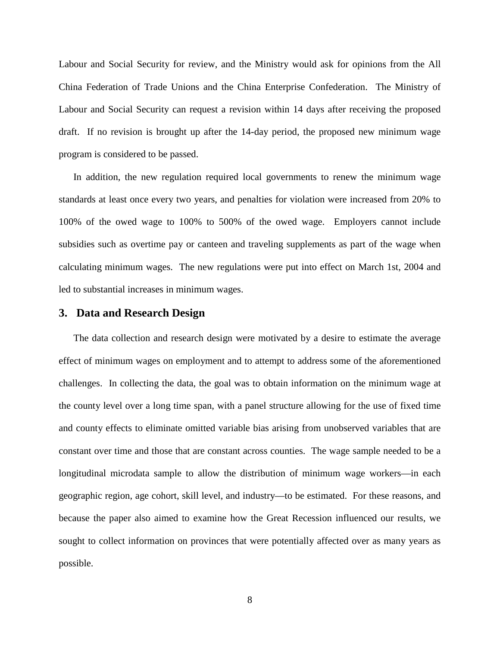Labour and Social Security for review, and the Ministry would ask for opinions from the All China Federation of Trade Unions and the China Enterprise Confederation. The Ministry of Labour and Social Security can request a revision within 14 days after receiving the proposed draft. If no revision is brought up after the 14-day period, the proposed new minimum wage program is considered to be passed.

In addition, the new regulation required local governments to renew the minimum wage standards at least once every two years, and penalties for violation were increased from 20% to 100% of the owed wage to 100% to 500% of the owed wage. Employers cannot include subsidies such as overtime pay or canteen and traveling supplements as part of the wage when calculating minimum wages. The new regulations were put into effect on March 1st, 2004 and led to substantial increases in minimum wages.

# <span id="page-8-0"></span>**3. Data and Research Design**

The data collection and research design were motivated by a desire to estimate the average effect of minimum wages on employment and to attempt to address some of the aforementioned challenges. In collecting the data, the goal was to obtain information on the minimum wage at the county level over a long time span, with a panel structure allowing for the use of fixed time and county effects to eliminate omitted variable bias arising from unobserved variables that are constant over time and those that are constant across counties. The wage sample needed to be a longitudinal microdata sample to allow the distribution of minimum wage workers—in each geographic region, age cohort, skill level, and industry—to be estimated. For these reasons, and because the paper also aimed to examine how the Great Recession influenced our results, we sought to collect information on provinces that were potentially affected over as many years as possible.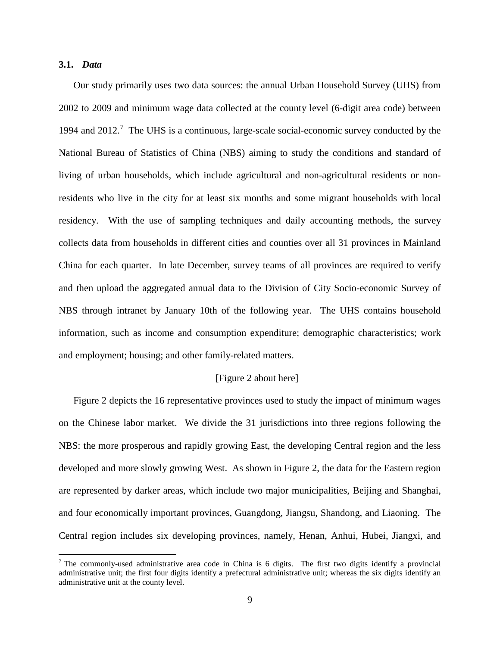# **3.1.** *Data*

Our study primarily uses two data sources: the annual Urban Household Survey (UHS) from 2002 to 2009 and minimum wage data collected at the county level (6-digit area code) between 1994 and 2012.<sup>[7](#page-4-1)</sup> The UHS is a continuous, large-scale social-economic survey conducted by the National Bureau of Statistics of China (NBS) aiming to study the conditions and standard of living of urban households, which include agricultural and non-agricultural residents or nonresidents who live in the city for at least six months and some migrant households with local residency. With the use of sampling techniques and daily accounting methods, the survey collects data from households in different cities and counties over all 31 provinces in Mainland China for each quarter. In late December, survey teams of all provinces are required to verify and then upload the aggregated annual data to the Division of City Socio-economic Survey of NBS through intranet by January 10th of the following year. The UHS contains household information, such as income and consumption expenditure; demographic characteristics; work and employment; housing; and other family-related matters.

### [\[Figure 2](#page-41-0) about here]

[Figure 2](#page-41-0) depicts the 16 representative provinces used to study the impact of minimum wages on the Chinese labor market. We divide the 31 jurisdictions into three regions following the NBS: the more prosperous and rapidly growing East, the developing Central region and the less developed and more slowly growing West. As shown in [Figure 2,](#page-41-0) the data for the Eastern region are represented by darker areas, which include two major municipalities, Beijing and Shanghai, and four economically important provinces, Guangdong, Jiangsu, Shandong, and Liaoning. The Central region includes six developing provinces, namely, Henan, Anhui, Hubei, Jiangxi, and

<span id="page-9-0"></span> $7$  The commonly-used administrative area code in China is 6 digits. The first two digits identify a provincial administrative unit; the first four digits identify a prefectural administrative unit; whereas the six digits identify an administrative unit at the county level.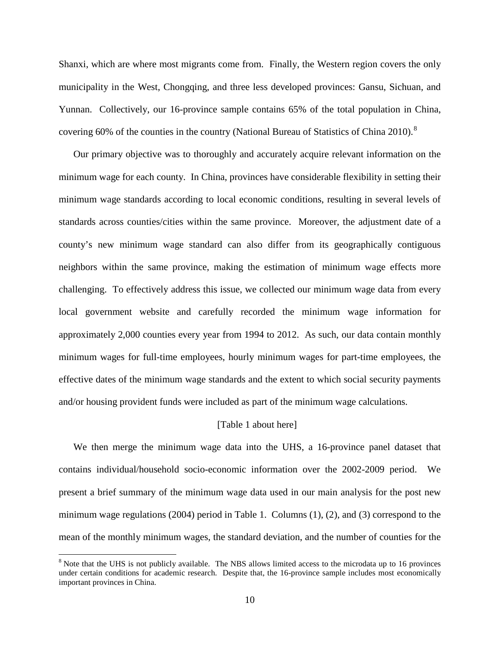Shanxi, which are where most migrants come from. Finally, the Western region covers the only municipality in the West, Chongqing, and three less developed provinces: Gansu, Sichuan, and Yunnan. Collectively, our 16-province sample contains 65% of the total population in China, covering 60% of the counties in the country (National Bureau of Statistics of China 2010).<sup>[8](#page-9-0)</sup>

Our primary objective was to thoroughly and accurately acquire relevant information on the minimum wage for each county. In China, provinces have considerable flexibility in setting their minimum wage standards according to local economic conditions, resulting in several levels of standards across counties/cities within the same province. Moreover, the adjustment date of a county's new minimum wage standard can also differ from its geographically contiguous neighbors within the same province, making the estimation of minimum wage effects more challenging. To effectively address this issue, we collected our minimum wage data from every local government website and carefully recorded the minimum wage information for approximately 2,000 counties every year from 1994 to 2012. As such, our data contain monthly minimum wages for full-time employees, hourly minimum wages for part-time employees, the effective dates of the minimum wage standards and the extent to which social security payments and/or housing provident funds were included as part of the minimum wage calculations.

#### [\[Table 1](#page-29-0) about here]

We then merge the minimum wage data into the UHS, a 16-province panel dataset that contains individual/household socio-economic information over the 2002-2009 period. We present a brief summary of the minimum wage data used in our main analysis for the post new minimum wage regulations (2004) period in [Table 1.](#page-29-0) Columns (1), (2), and (3) correspond to the mean of the monthly minimum wages, the standard deviation, and the number of counties for the

<span id="page-10-0"></span> $8$  Note that the UHS is not publicly available. The NBS allows limited access to the microdata up to 16 provinces under certain conditions for academic research. Despite that, the 16-province sample includes most economically important provinces in China.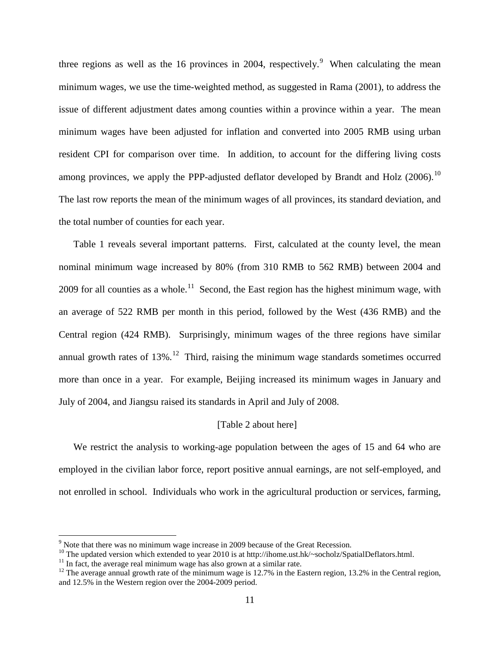three regions as well as the 16 provinces in 2004, respectively.<sup>[9](#page-10-0)</sup> When calculating the mean minimum wages, we use the time-weighted method, as suggested in Rama (2001), to address the issue of different adjustment dates among counties within a province within a year. The mean minimum wages have been adjusted for inflation and converted into 2005 RMB using urban resident CPI for comparison over time. In addition, to account for the differing living costs among provinces, we apply the PPP-adjusted deflator developed by Brandt and Holz  $(2006)^{10}$  $(2006)^{10}$  $(2006)^{10}$ The last row reports the mean of the minimum wages of all provinces, its standard deviation, and the total number of counties for each year.

[Table 1](#page-29-0) reveals several important patterns. First, calculated at the county level, the mean nominal minimum wage increased by 80% (from 310 RMB to 562 RMB) between 2004 and 2009 for all counties as a whole.<sup>[11](#page-11-1)</sup> Second, the East region has the highest minimum wage, with an average of 522 RMB per month in this period, followed by the West (436 RMB) and the Central region (424 RMB). Surprisingly, minimum wages of the three regions have similar annual growth rates of  $13\%$ .<sup>[12](#page-11-2)</sup> Third, raising the minimum wage standards sometimes occurred more than once in a year. For example, Beijing increased its minimum wages in January and July of 2004, and Jiangsu raised its standards in April and July of 2008.

#### [\[Table 2](#page-30-0) about here]

We restrict the analysis to working-age population between the ages of 15 and 64 who are employed in the civilian labor force, report positive annual earnings, are not self-employed, and not enrolled in school. Individuals who work in the agricultural production or services, farming,

<span id="page-11-0"></span>

<span id="page-11-3"></span><sup>&</sup>lt;sup>9</sup> Note that there was no minimum wage increase in 2009 because of the Great Recession.<br><sup>10</sup> The updated version which extended to year 2010 is at http://ihome.ust.hk/~socholz/SpatialDeflators.html.

<span id="page-11-2"></span>

<span id="page-11-1"></span><sup>&</sup>lt;sup>11</sup> In fact, the average real minimum wage has also grown at a similar rate.<br><sup>12</sup> The average annual growth rate of the minimum wage is 12.7% in the Eastern region, 13.2% in the Central region, and 12.5% in the Western region over the 2004-2009 period.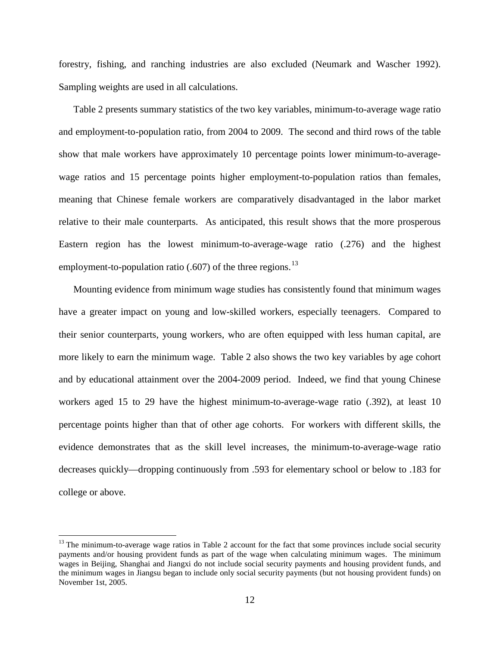forestry, fishing, and ranching industries are also excluded (Neumark and Wascher 1992). Sampling weights are used in all calculations.

[Table 2](#page-30-0) presents summary statistics of the two key variables, minimum-to-average wage ratio and employment-to-population ratio, from 2004 to 2009. The second and third rows of the table show that male workers have approximately 10 percentage points lower minimum-to-averagewage ratios and 15 percentage points higher employment-to-population ratios than females, meaning that Chinese female workers are comparatively disadvantaged in the labor market relative to their male counterparts. As anticipated, this result shows that the more prosperous Eastern region has the lowest minimum-to-average-wage ratio (.276) and the highest employment-to-population ratio  $(.607)$  of the three regions.<sup>[13](#page-11-3)</sup>

Mounting evidence from minimum wage studies has consistently found that minimum wages have a greater impact on young and low-skilled workers, especially teenagers. Compared to their senior counterparts, young workers, who are often equipped with less human capital, are more likely to earn the minimum wage. [Table 2](#page-30-0) also shows the two key variables by age cohort and by educational attainment over the 2004-2009 period. Indeed, we find that young Chinese workers aged 15 to 29 have the highest minimum-to-average-wage ratio (.392), at least 10 percentage points higher than that of other age cohorts. For workers with different skills, the evidence demonstrates that as the skill level increases, the minimum-to-average-wage ratio decreases quickly—dropping continuously from .593 for elementary school or below to .183 for college or above.

<span id="page-12-0"></span> $13$  The minimum-to-average wage ratios in [Table 2](#page-30-0) account for the fact that some provinces include social security payments and/or housing provident funds as part of the wage when calculating minimum wages. The minimum wages in Beijing, Shanghai and Jiangxi do not include social security payments and housing provident funds, and the minimum wages in Jiangsu began to include only social security payments (but not housing provident funds) on November 1st, 2005.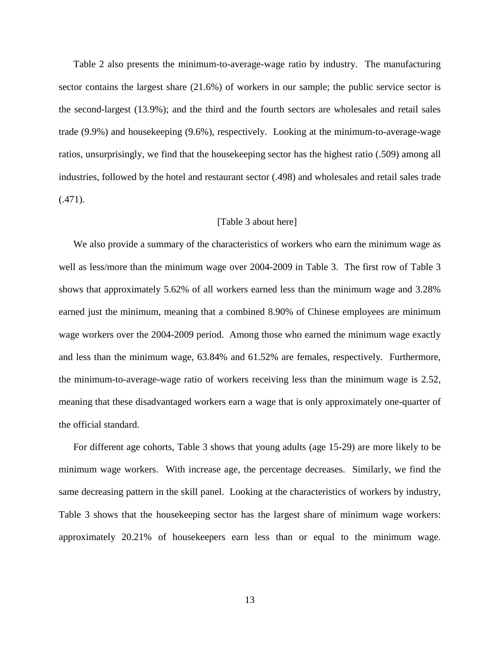[Table 2](#page-30-0) also presents the minimum-to-average-wage ratio by industry. The manufacturing sector contains the largest share (21.6%) of workers in our sample; the public service sector is the second-largest (13.9%); and the third and the fourth sectors are wholesales and retail sales trade (9.9%) and housekeeping (9.6%), respectively. Looking at the minimum-to-average-wage ratios, unsurprisingly, we find that the housekeeping sector has the highest ratio (.509) among all industries, followed by the hotel and restaurant sector (.498) and wholesales and retail sales trade  $(.471).$ 

#### [\[Table 3](#page-31-0) about here]

We also provide a summary of the characteristics of workers who earn the minimum wage as well as less/more than the minimum wage over 2004-2009 in [Table 3.](#page-31-0) The first row of [Table 3](#page-31-0) shows that approximately 5.62% of all workers earned less than the minimum wage and 3.28% earned just the minimum, meaning that a combined 8.90% of Chinese employees are minimum wage workers over the 2004-2009 period. Among those who earned the minimum wage exactly and less than the minimum wage, 63.84% and 61.52% are females, respectively. Furthermore, the minimum-to-average-wage ratio of workers receiving less than the minimum wage is 2.52, meaning that these disadvantaged workers earn a wage that is only approximately one-quarter of the official standard.

For different age cohorts, [Table 3](#page-31-0) shows that young adults (age 15-29) are more likely to be minimum wage workers. With increase age, the percentage decreases. Similarly, we find the same decreasing pattern in the skill panel. Looking at the characteristics of workers by industry, [Table 3](#page-31-0) shows that the housekeeping sector has the largest share of minimum wage workers: approximately 20.21% of housekeepers earn less than or equal to the minimum wage.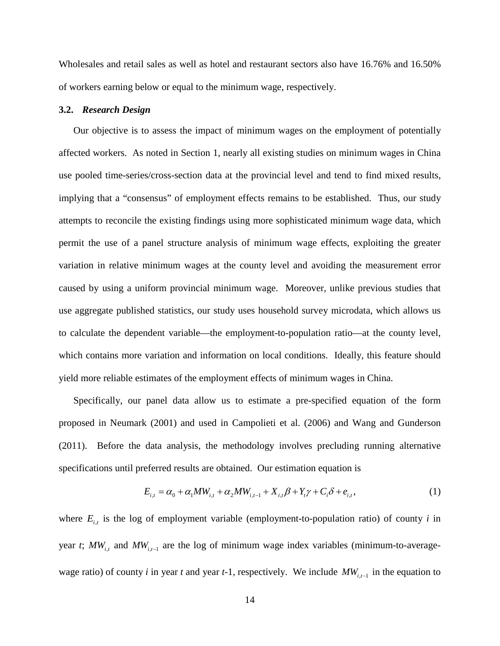Wholesales and retail sales as well as hotel and restaurant sectors also have 16.76% and 16.50% of workers earning below or equal to the minimum wage, respectively.

#### **3.2.** *Research Design*

Our objective is to assess the impact of minimum wages on the employment of potentially affected workers. As noted in Section [1,](#page-1-0) nearly all existing studies on minimum wages in China use pooled time-series/cross-section data at the provincial level and tend to find mixed results, implying that a "consensus" of employment effects remains to be established. Thus, our study attempts to reconcile the existing findings using more sophisticated minimum wage data, which permit the use of a panel structure analysis of minimum wage effects, exploiting the greater variation in relative minimum wages at the county level and avoiding the measurement error caused by using a uniform provincial minimum wage. Moreover, unlike previous studies that use aggregate published statistics, our study uses household survey microdata, which allows us to calculate the dependent variable—the employment-to-population ratio—at the county level, which contains more variation and information on local conditions. Ideally, this feature should yield more reliable estimates of the employment effects of minimum wages in China.

Specifically, our panel data allow us to estimate a pre-specified equation of the form proposed in Neumark (2001) and used in Campolieti et al. (2006) and Wang and Gunderson (2011). Before the data analysis, the methodology involves precluding running alternative specifications until preferred results are obtained. Our estimation equation is

$$
E_{i,t} = \alpha_0 + \alpha_1 MW_{i,t} + \alpha_2 MW_{i,t-1} + X_{i,t} \beta + Y_t \gamma + C_i \delta + e_{i,t},
$$
\n(1)

where  $E_{i,t}$  is the log of employment variable (employment-to-population ratio) of county *i* in year *t*;  $MW_{i,t}$  and  $MW_{i,t-1}$  are the log of minimum wage index variables (minimum-to-averagewage ratio) of county *i* in year *t* and year *t*-1, respectively. We include  $MW_{i,t-1}$  in the equation to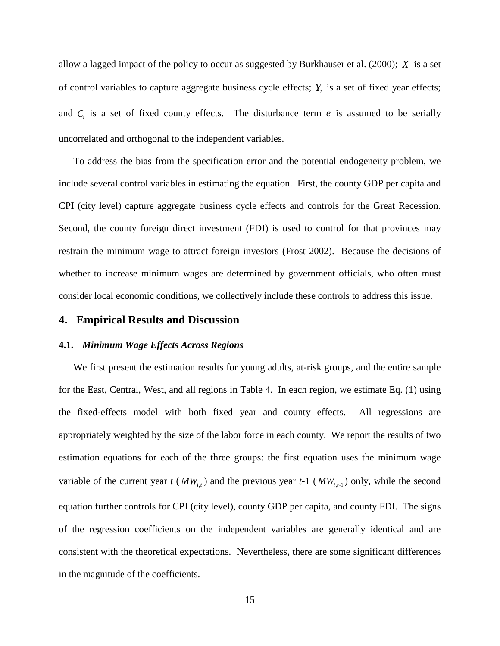allow a lagged impact of the policy to occur as suggested by Burkhauser et al. (2000); *X* is a set of control variables to capture aggregate business cycle effects;  $Y_t$  is a set of fixed year effects; and  $C_i$  is a set of fixed county effects. The disturbance term  $e$  is assumed to be serially uncorrelated and orthogonal to the independent variables.

To address the bias from the specification error and the potential endogeneity problem, we include several control variables in estimating the equation. First, the county GDP per capita and CPI (city level) capture aggregate business cycle effects and controls for the Great Recession. Second, the county foreign direct investment (FDI) is used to control for that provinces may restrain the minimum wage to attract foreign investors (Frost 2002). Because the decisions of whether to increase minimum wages are determined by government officials, who often must consider local economic conditions, we collectively include these controls to address this issue.

# <span id="page-15-0"></span>**4. Empirical Results and Discussion**

### **4.1.** *Minimum Wage Effects Across Regions*

We first present the estimation results for young adults, at-risk groups, and the entire sample for the East, Central, West, and all regions in [Table 4.](#page-32-0) In each region, we estimate Eq. (1) using the fixed-effects model with both fixed year and county effects. All regressions are appropriately weighted by the size of the labor force in each county. We report the results of two estimation equations for each of the three groups: the first equation uses the minimum wage variable of the current year  $t$  ( $MW_{i,t}$ ) and the previous year  $t$ -1 ( $MW_{i,t-1}$ ) only, while the second equation further controls for CPI (city level), county GDP per capita, and county FDI. The signs of the regression coefficients on the independent variables are generally identical and are consistent with the theoretical expectations. Nevertheless, there are some significant differences in the magnitude of the coefficients.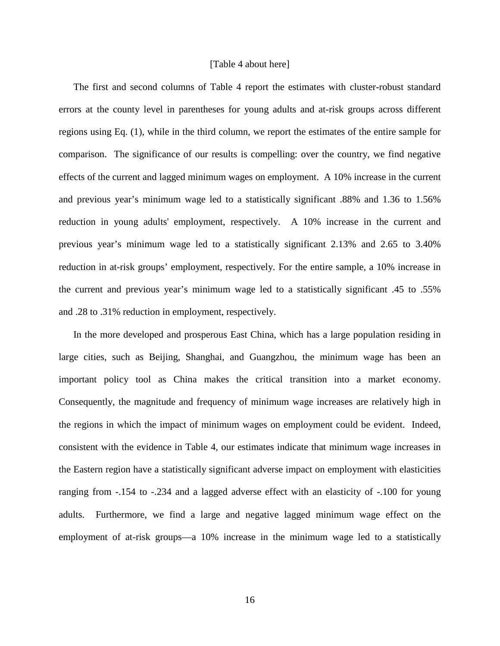#### [\[Table 4](#page-32-0) about here]

The first and second columns of [Table 4](#page-32-0) report the estimates with cluster-robust standard errors at the county level in parentheses for young adults and at-risk groups across different regions using Eq. (1), while in the third column, we report the estimates of the entire sample for comparison. The significance of our results is compelling: over the country, we find negative effects of the current and lagged minimum wages on employment. A 10% increase in the current and previous year's minimum wage led to a statistically significant .88% and 1.36 to 1.56% reduction in young adults' employment, respectively. A 10% increase in the current and previous year's minimum wage led to a statistically significant 2.13% and 2.65 to 3.40% reduction in at-risk groups' employment, respectively. For the entire sample, a 10% increase in the current and previous year's minimum wage led to a statistically significant .45 to .55% and .28 to .31% reduction in employment, respectively.

In the more developed and prosperous East China, which has a large population residing in large cities, such as Beijing, Shanghai, and Guangzhou, the minimum wage has been an important policy tool as China makes the critical transition into a market economy. Consequently, the magnitude and frequency of minimum wage increases are relatively high in the regions in which the impact of minimum wages on employment could be evident. Indeed, consistent with the evidence in [Table 4,](#page-32-0) our estimates indicate that minimum wage increases in the Eastern region have a statistically significant adverse impact on employment with elasticities ranging from -.154 to -.234 and a lagged adverse effect with an elasticity of -.100 for young adults. Furthermore, we find a large and negative lagged minimum wage effect on the employment of at-risk groups—a 10% increase in the minimum wage led to a statistically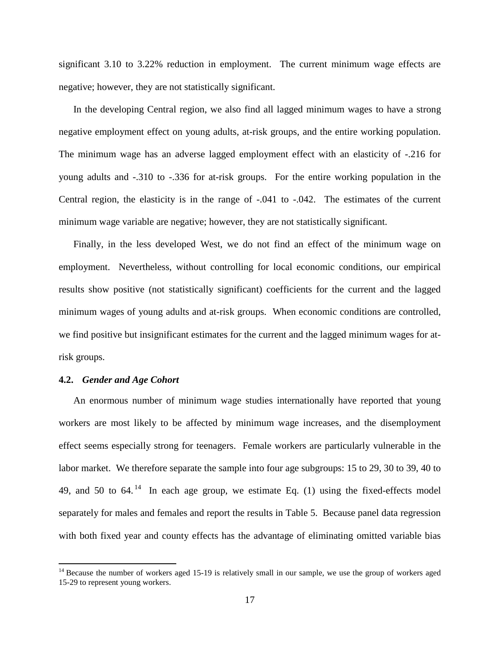significant 3.10 to 3.22% reduction in employment. The current minimum wage effects are negative; however, they are not statistically significant.

In the developing Central region, we also find all lagged minimum wages to have a strong negative employment effect on young adults, at-risk groups, and the entire working population. The minimum wage has an adverse lagged employment effect with an elasticity of -.216 for young adults and -.310 to -.336 for at-risk groups. For the entire working population in the Central region, the elasticity is in the range of -.041 to -.042. The estimates of the current minimum wage variable are negative; however, they are not statistically significant.

Finally, in the less developed West, we do not find an effect of the minimum wage on employment. Nevertheless, without controlling for local economic conditions, our empirical results show positive (not statistically significant) coefficients for the current and the lagged minimum wages of young adults and at-risk groups. When economic conditions are controlled, we find positive but insignificant estimates for the current and the lagged minimum wages for atrisk groups.

#### **4.2.** *Gender and Age Cohort*

An enormous number of minimum wage studies internationally have reported that young workers are most likely to be affected by minimum wage increases, and the disemployment effect seems especially strong for teenagers. Female workers are particularly vulnerable in the labor market. We therefore separate the sample into four age subgroups: 15 to 29, 30 to 39, 40 to 49, and 50 to 64.<sup>[14](#page-12-0)</sup> In each age group, we estimate Eq. (1) using the fixed-effects model separately for males and females and report the results in [Table 5.](#page-34-0) Because panel data regression with both fixed year and county effects has the advantage of eliminating omitted variable bias

<span id="page-17-0"></span> $14$  Because the number of workers aged 15-19 is relatively small in our sample, we use the group of workers aged 15-29 to represent young workers.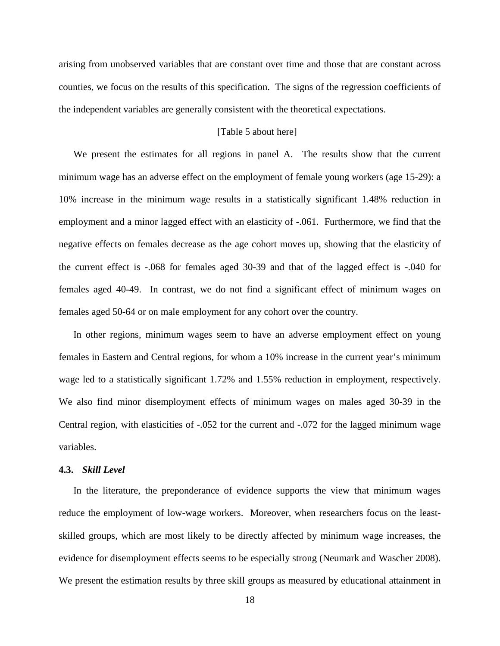arising from unobserved variables that are constant over time and those that are constant across counties, we focus on the results of this specification. The signs of the regression coefficients of the independent variables are generally consistent with the theoretical expectations.

# [\[Table 5](#page-34-0) about here]

We present the estimates for all regions in panel A. The results show that the current minimum wage has an adverse effect on the employment of female young workers (age 15-29): a 10% increase in the minimum wage results in a statistically significant 1.48% reduction in employment and a minor lagged effect with an elasticity of -.061. Furthermore, we find that the negative effects on females decrease as the age cohort moves up, showing that the elasticity of the current effect is -.068 for females aged 30-39 and that of the lagged effect is -.040 for females aged 40-49. In contrast, we do not find a significant effect of minimum wages on females aged 50-64 or on male employment for any cohort over the country.

In other regions, minimum wages seem to have an adverse employment effect on young females in Eastern and Central regions, for whom a 10% increase in the current year's minimum wage led to a statistically significant 1.72% and 1.55% reduction in employment, respectively. We also find minor disemployment effects of minimum wages on males aged 30-39 in the Central region, with elasticities of -.052 for the current and -.072 for the lagged minimum wage variables.

# **4.3.** *Skill Level*

In the literature, the preponderance of evidence supports the view that minimum wages reduce the employment of low-wage workers. Moreover, when researchers focus on the leastskilled groups, which are most likely to be directly affected by minimum wage increases, the evidence for disemployment effects seems to be especially strong (Neumark and Wascher 2008). We present the estimation results by three skill groups as measured by educational attainment in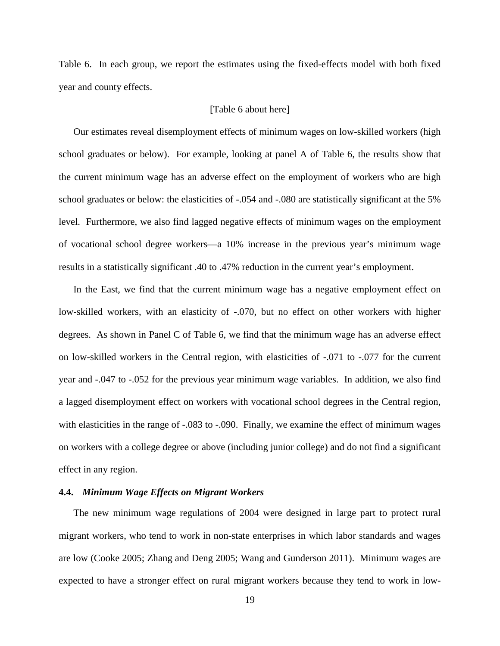[Table 6.](#page-36-0) In each group, we report the estimates using the fixed-effects model with both fixed year and county effects.

#### [\[Table 6](#page-36-0) about here]

Our estimates reveal disemployment effects of minimum wages on low-skilled workers (high school graduates or below). For example, looking at panel A of [Table 6,](#page-36-0) the results show that the current minimum wage has an adverse effect on the employment of workers who are high school graduates or below: the elasticities of -.054 and -.080 are statistically significant at the 5% level. Furthermore, we also find lagged negative effects of minimum wages on the employment of vocational school degree workers—a 10% increase in the previous year's minimum wage results in a statistically significant .40 to .47% reduction in the current year's employment.

In the East, we find that the current minimum wage has a negative employment effect on low-skilled workers, with an elasticity of -.070, but no effect on other workers with higher degrees. As shown in Panel C of [Table 6,](#page-36-0) we find that the minimum wage has an adverse effect on low-skilled workers in the Central region, with elasticities of -.071 to -.077 for the current year and -.047 to -.052 for the previous year minimum wage variables. In addition, we also find a lagged disemployment effect on workers with vocational school degrees in the Central region, with elasticities in the range of -.083 to -.090. Finally, we examine the effect of minimum wages on workers with a college degree or above (including junior college) and do not find a significant effect in any region.

### **4.4.** *Minimum Wage Effects on Migrant Workers*

The new minimum wage regulations of 2004 were designed in large part to protect rural migrant workers, who tend to work in non-state enterprises in which labor standards and wages are low (Cooke 2005; Zhang and Deng 2005; Wang and Gunderson 2011). Minimum wages are expected to have a stronger effect on rural migrant workers because they tend to work in low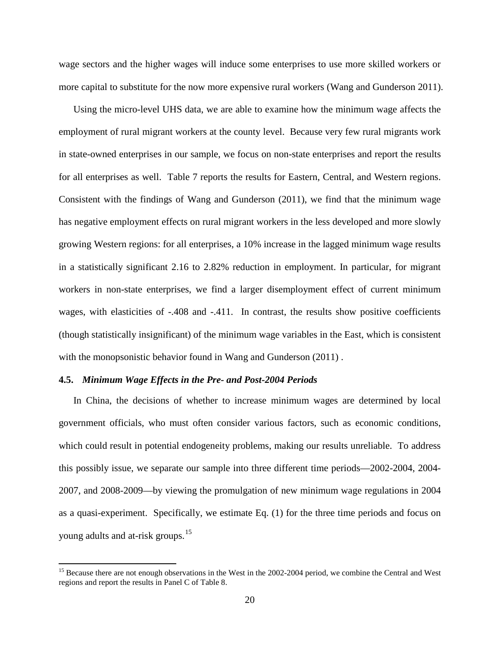wage sectors and the higher wages will induce some enterprises to use more skilled workers or more capital to substitute for the now more expensive rural workers (Wang and Gunderson 2011).

Using the micro-level UHS data, we are able to examine how the minimum wage affects the employment of rural migrant workers at the county level. Because very few rural migrants work in state-owned enterprises in our sample, we focus on non-state enterprises and report the results for all enterprises as well. [Table 7](#page-38-0) reports the results for Eastern, Central, and Western regions. Consistent with the findings of Wang and Gunderson (2011), we find that the minimum wage has negative employment effects on rural migrant workers in the less developed and more slowly growing Western regions: for all enterprises, a 10% increase in the lagged minimum wage results in a statistically significant 2.16 to 2.82% reduction in employment. In particular, for migrant workers in non-state enterprises, we find a larger disemployment effect of current minimum wages, with elasticities of -.408 and -.411. In contrast, the results show positive coefficients (though statistically insignificant) of the minimum wage variables in the East, which is consistent with the monopsonistic behavior found in Wang and Gunderson (2011).

#### **4.5.** *Minimum Wage Effects in the Pre- and Post-2004 Periods*

In China, the decisions of whether to increase minimum wages are determined by local government officials, who must often consider various factors, such as economic conditions, which could result in potential endogeneity problems, making our results unreliable. To address this possibly issue, we separate our sample into three different time periods—2002-2004, 2004- 2007, and 2008-2009—by viewing the promulgation of new minimum wage regulations in 2004 as a quasi-experiment. Specifically, we estimate Eq. (1) for the three time periods and focus on young adults and at-risk groups.<sup>15</sup>

<span id="page-20-0"></span><sup>&</sup>lt;sup>15</sup> Because there are not enough observations in the West in the 2002-2004 period, we combine the Central and West regions and report the results in Panel C o[f Table 8.](#page-39-0)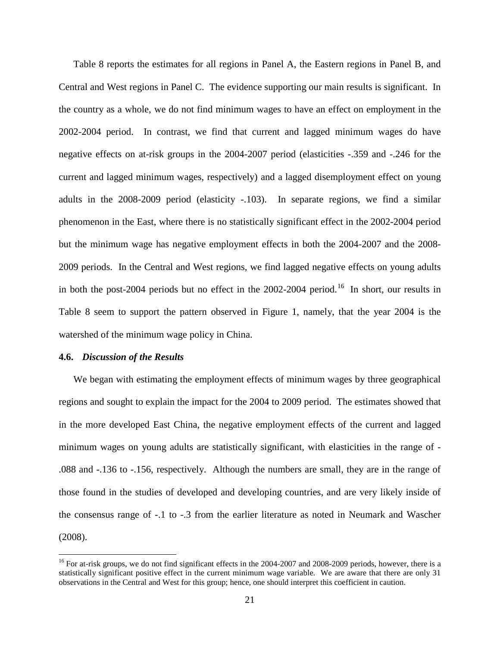[Table 8](#page-39-0) reports the estimates for all regions in Panel A, the Eastern regions in Panel B, and Central and West regions in Panel C. The evidence supporting our main results is significant. In the country as a whole, we do not find minimum wages to have an effect on employment in the 2002-2004 period. In contrast, we find that current and lagged minimum wages do have negative effects on at-risk groups in the 2004-2007 period (elasticities -.359 and -.246 for the current and lagged minimum wages, respectively) and a lagged disemployment effect on young adults in the 2008-2009 period (elasticity -.103). In separate regions, we find a similar phenomenon in the East, where there is no statistically significant effect in the 2002-2004 period but the minimum wage has negative employment effects in both the 2004-2007 and the 2008- 2009 periods. In the Central and West regions, we find lagged negative effects on young adults in both the post-2004 periods but no effect in the  $2002$ -2004 period.<sup>[16](#page-20-0)</sup> In short, our results in [Table 8](#page-39-0) seem to support the pattern observed in [Figure 1,](#page-40-0) namely, that the year 2004 is the watershed of the minimum wage policy in China.

### **4.6.** *Discussion of the Results*

We began with estimating the employment effects of minimum wages by three geographical regions and sought to explain the impact for the 2004 to 2009 period. The estimates showed that in the more developed East China, the negative employment effects of the current and lagged minimum wages on young adults are statistically significant, with elasticities in the range of - .088 and -.136 to -.156, respectively. Although the numbers are small, they are in the range of those found in the studies of developed and developing countries, and are very likely inside of the consensus range of -.1 to -.3 from the earlier literature as noted in Neumark and Wascher (2008).

<span id="page-21-0"></span> $^{16}$  For at-risk groups, we do not find significant effects in the 2004-2007 and 2008-2009 periods, however, there is a statistically significant positive effect in the current minimum wage variable. We are aware that there are only 31 observations in the Central and West for this group; hence, one should interpret this coefficient in caution.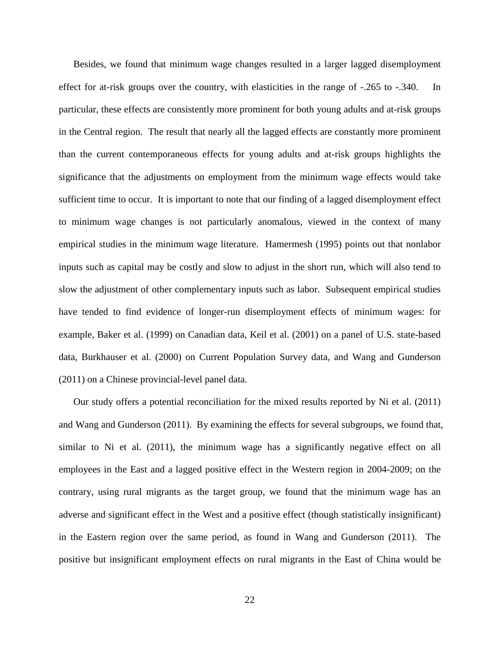Besides, we found that minimum wage changes resulted in a larger lagged disemployment effect for at-risk groups over the country, with elasticities in the range of -.265 to -.340. In particular, these effects are consistently more prominent for both young adults and at-risk groups in the Central region. The result that nearly all the lagged effects are constantly more prominent than the current contemporaneous effects for young adults and at-risk groups highlights the significance that the adjustments on employment from the minimum wage effects would take sufficient time to occur. It is important to note that our finding of a lagged disemployment effect to minimum wage changes is not particularly anomalous, viewed in the context of many empirical studies in the minimum wage literature. Hamermesh (1995) points out that nonlabor inputs such as capital may be costly and slow to adjust in the short run, which will also tend to slow the adjustment of other complementary inputs such as labor. Subsequent empirical studies have tended to find evidence of longer-run disemployment effects of minimum wages: for example, Baker et al. (1999) on Canadian data, Keil et al. (2001) on a panel of U.S. state-based data, Burkhauser et al. (2000) on Current Population Survey data, and Wang and Gunderson (2011) on a Chinese provincial-level panel data.

Our study offers a potential reconciliation for the mixed results reported by Ni et al. (2011) and Wang and Gunderson (2011). By examining the effects for several subgroups, we found that, similar to Ni et al. (2011), the minimum wage has a significantly negative effect on all employees in the East and a lagged positive effect in the Western region in 2004-2009; on the contrary, using rural migrants as the target group, we found that the minimum wage has an adverse and significant effect in the West and a positive effect (though statistically insignificant) in the Eastern region over the same period, as found in Wang and Gunderson (2011). The positive but insignificant employment effects on rural migrants in the East of China would be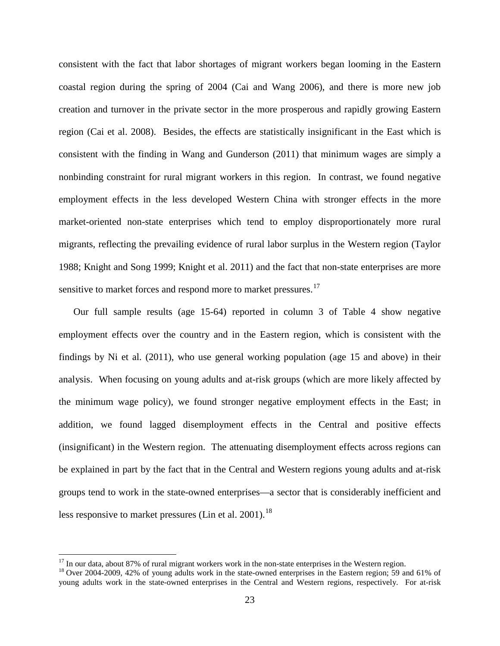consistent with the fact that labor shortages of migrant workers began looming in the Eastern coastal region during the spring of 2004 (Cai and Wang 2006), and there is more new job creation and turnover in the private sector in the more prosperous and rapidly growing Eastern region (Cai et al. 2008). Besides, the effects are statistically insignificant in the East which is consistent with the finding in Wang and Gunderson (2011) that minimum wages are simply a nonbinding constraint for rural migrant workers in this region. In contrast, we found negative employment effects in the less developed Western China with stronger effects in the more market-oriented non-state enterprises which tend to employ disproportionately more rural migrants, reflecting the prevailing evidence of rural labor surplus in the Western region (Taylor 1988; Knight and Song 1999; Knight et al. 2011) and the fact that non-state enterprises are more sensitive to market forces and respond more to market pressures.<sup>[17](#page-21-0)</sup>

Our full sample results (age 15-64) reported in column 3 of [Table 4](#page-32-0) show negative employment effects over the country and in the Eastern region, which is consistent with the findings by Ni et al. (2011), who use general working population (age 15 and above) in their analysis. When focusing on young adults and at-risk groups (which are more likely affected by the minimum wage policy), we found stronger negative employment effects in the East; in addition, we found lagged disemployment effects in the Central and positive effects (insignificant) in the Western region. The attenuating disemployment effects across regions can be explained in part by the fact that in the Central and Western regions young adults and at-risk groups tend to work in the state-owned enterprises—a sector that is considerably inefficient and less responsive to market pressures (Lin et al. 2001).<sup>[18](#page-23-0)</sup>

<span id="page-23-1"></span><span id="page-23-0"></span><sup>&</sup>lt;sup>17</sup> In our data, about 87% of rural migrant workers work in the non-state enterprises in the Western region. <sup>18</sup> Over 2004-2009, 42% of young adults work in the state-owned enterprises in the Eastern region; 59 and 61% young adults work in the state-owned enterprises in the Central and Western regions, respectively. For at-risk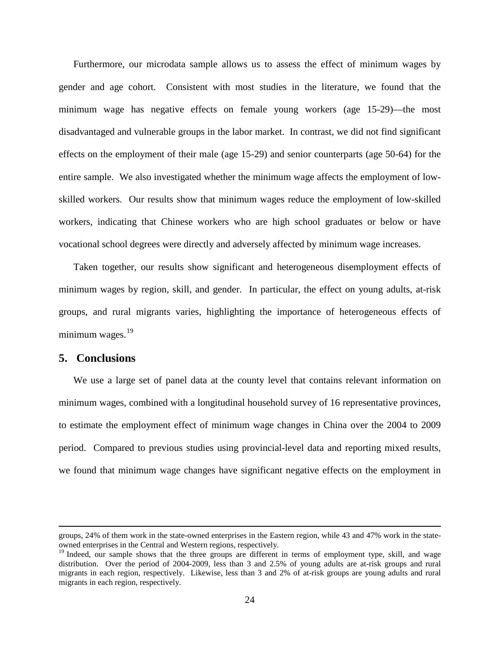Furthermore, our microdata sample allows us to assess the effect of minimum wages by gender and age cohort. Consistent with most studies in the literature, we found that the minimum wage has negative effects on female young workers (age 15-29)—the most disadvantaged and vulnerable groups in the labor market. In contrast, we did not find significant effects on the employment of their male (age 15-29) and senior counterparts (age 50-64) for the entire sample. We also investigated whether the minimum wage affects the employment of lowskilled workers. Our results show that minimum wages reduce the employment of low-skilled workers, indicating that Chinese workers who are high school graduates or below or have vocational school degrees were directly and adversely affected by minimum wage increases.

Taken together, our results show significant and heterogeneous disemployment effects of minimum wages by region, skill, and gender. In particular, the effect on young adults, at-risk groups, and rural migrants varies, highlighting the importance of heterogeneous effects of minimum wages. $19$ 

### <span id="page-24-0"></span>**5. Conclusions**

We use a large set of panel data at the county level that contains relevant information on minimum wages, combined with a longitudinal household survey of 16 representative provinces, to estimate the employment effect of minimum wage changes in China over the 2004 to 2009 period. Compared to previous studies using provincial-level data and reporting mixed results, we found that minimum wage changes have significant negative effects on the employment in

groups, 24% of them work in the state-owned enterprises in the Eastern region, while 43 and 47% work in the stateowned enterprises in the Central and Western regions, respectively.

<sup>&</sup>lt;sup>19</sup> Indeed, our sample shows that the three groups are different in terms of employment type, skill, and wage distribution. Over the period of 2004-2009, less than 3 and 2.5% of young adults are at-risk groups and rural migrants in each region, respectively. Likewise, less than 3 and 2% of at-risk groups are young adults and rural migrants in each region, respectively.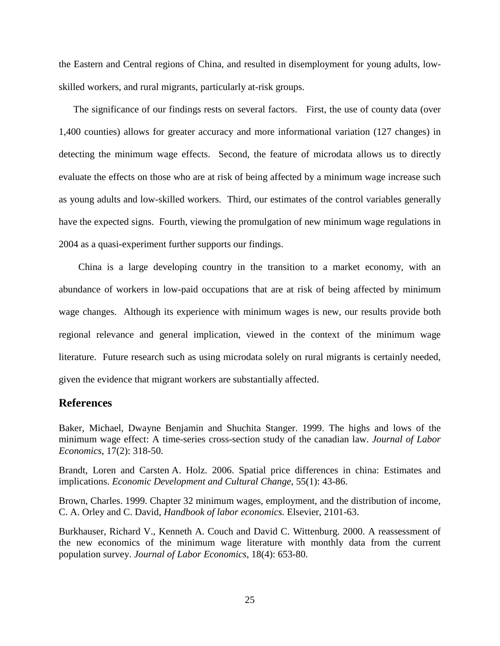the Eastern and Central regions of China, and resulted in disemployment for young adults, lowskilled workers, and rural migrants, particularly at-risk groups.

The significance of our findings rests on several factors. First, the use of county data (over 1,400 counties) allows for greater accuracy and more informational variation (127 changes) in detecting the minimum wage effects. Second, the feature of microdata allows us to directly evaluate the effects on those who are at risk of being affected by a minimum wage increase such as young adults and low-skilled workers. Third, our estimates of the control variables generally have the expected signs. Fourth, viewing the promulgation of new minimum wage regulations in 2004 as a quasi-experiment further supports our findings.

 China is a large developing country in the transition to a market economy, with an abundance of workers in low-paid occupations that are at risk of being affected by minimum wage changes. Although its experience with minimum wages is new, our results provide both regional relevance and general implication, viewed in the context of the minimum wage literature. Future research such as using microdata solely on rural migrants is certainly needed, given the evidence that migrant workers are substantially affected.

# **References**

Baker, Michael, Dwayne Benjamin and Shuchita Stanger. 1999. The highs and lows of the minimum wage effect: A time-series cross-section study of the canadian law. *Journal of Labor Economics*, 17(2): 318-50.

Brandt, Loren and Carsten A. Holz. 2006. Spatial price differences in china: Estimates and implications. *Economic Development and Cultural Change*, 55(1): 43-86.

Brown, Charles. 1999. Chapter 32 minimum wages, employment, and the distribution of income, C. A. Orley and C. David, *Handbook of labor economics.* Elsevier, 2101-63.

Burkhauser, Richard V., Kenneth A. Couch and David C. Wittenburg. 2000. A reassessment of the new economics of the minimum wage literature with monthly data from the current population survey. *Journal of Labor Economics*, 18(4): 653-80.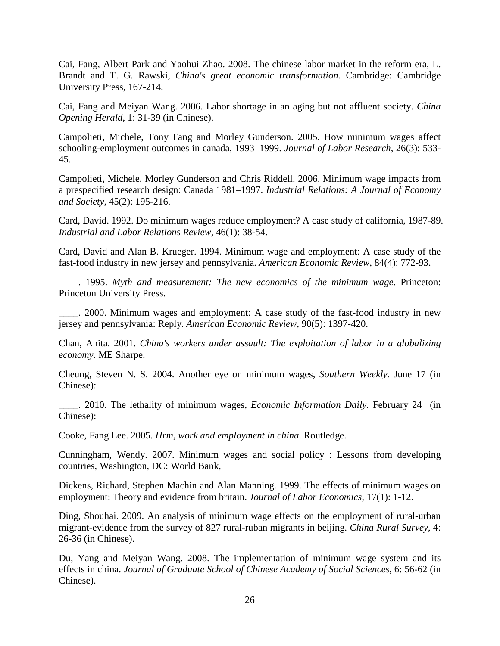Cai, Fang, Albert Park and Yaohui Zhao. 2008. The chinese labor market in the reform era, L. Brandt and T. G. Rawski, *China's great economic transformation.* Cambridge: Cambridge University Press, 167-214.

Cai, Fang and Meiyan Wang. 2006. Labor shortage in an aging but not affluent society. *China Opening Herald*, 1: 31-39 (in Chinese).

Campolieti, Michele, Tony Fang and Morley Gunderson. 2005. How minimum wages affect schooling-employment outcomes in canada, 1993–1999. *Journal of Labor Research*, 26(3): 533- 45.

Campolieti, Michele, Morley Gunderson and Chris Riddell. 2006. Minimum wage impacts from a prespecified research design: Canada 1981–1997. *Industrial Relations: A Journal of Economy and Society*, 45(2): 195-216.

Card, David. 1992. Do minimum wages reduce employment? A case study of california, 1987-89. *Industrial and Labor Relations Review*, 46(1): 38-54.

Card, David and Alan B. Krueger. 1994. Minimum wage and employment: A case study of the fast-food industry in new jersey and pennsylvania. *American Economic Review*, 84(4): 772-93.

\_\_\_\_. 1995. *Myth and measurement: The new economics of the minimum wage*. Princeton: Princeton University Press.

. 2000. Minimum wages and employment: A case study of the fast-food industry in new jersey and pennsylvania: Reply. *American Economic Review*, 90(5): 1397-420.

Chan, Anita. 2001. *China's workers under assault: The exploitation of labor in a globalizing economy*. ME Sharpe.

Cheung, Steven N. S. 2004. Another eye on minimum wages, *Southern Weekly.* June 17 (in Chinese):

\_\_\_\_. 2010. The lethality of minimum wages, *Economic Information Daily.* February 24 (in Chinese):

Cooke, Fang Lee. 2005. *Hrm, work and employment in china*. Routledge.

Cunningham, Wendy. 2007. Minimum wages and social policy : Lessons from developing countries, Washington, DC: World Bank,

Dickens, Richard, Stephen Machin and Alan Manning. 1999. The effects of minimum wages on employment: Theory and evidence from britain. *Journal of Labor Economics*, 17(1): 1-12.

Ding, Shouhai. 2009. An analysis of minimum wage effects on the employment of rural-urban migrant-evidence from the survey of 827 rural-ruban migrants in beijing. *China Rural Survey*, 4: 26-36 (in Chinese).

Du, Yang and Meiyan Wang. 2008. The implementation of minimum wage system and its effects in china. *Journal of Graduate School of Chinese Academy of Social Sciences*, 6: 56-62 (in Chinese).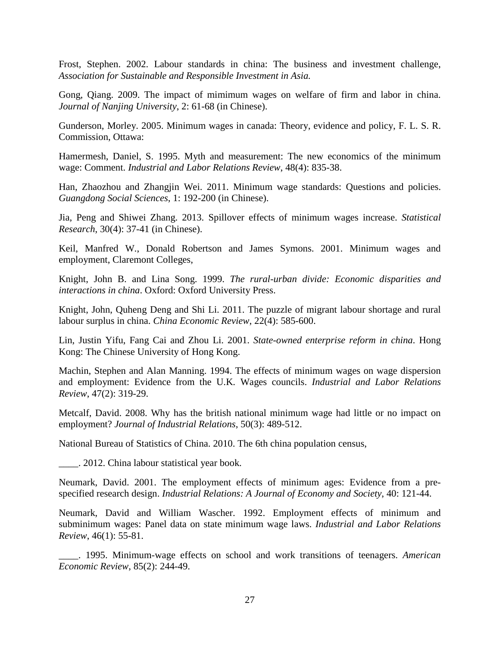Frost, Stephen. 2002. Labour standards in china: The business and investment challenge, *Association for Sustainable and Responsible Investment in Asia.* 

Gong, Qiang. 2009. The impact of mimimum wages on welfare of firm and labor in china. *Journal of Nanjing University*, 2: 61-68 (in Chinese).

Gunderson, Morley. 2005. Minimum wages in canada: Theory, evidence and policy, F. L. S. R. Commission, Ottawa:

Hamermesh, Daniel, S. 1995. Myth and measurement: The new economics of the minimum wage: Comment. *Industrial and Labor Relations Review*, 48(4): 835-38.

Han, Zhaozhou and Zhangjin Wei. 2011. Minimum wage standards: Questions and policies. *Guangdong Social Sciences*, 1: 192-200 (in Chinese).

Jia, Peng and Shiwei Zhang. 2013. Spillover effects of minimum wages increase. *Statistical Research*, 30(4): 37-41 (in Chinese).

Keil, Manfred W., Donald Robertson and James Symons. 2001. Minimum wages and employment, Claremont Colleges,

Knight, John B. and Lina Song. 1999. *The rural-urban divide: Economic disparities and interactions in china*. Oxford: Oxford University Press.

Knight, John, Quheng Deng and Shi Li. 2011. The puzzle of migrant labour shortage and rural labour surplus in china. *China Economic Review*, 22(4): 585-600.

Lin, Justin Yifu, Fang Cai and Zhou Li. 2001. *State-owned enterprise reform in china*. Hong Kong: The Chinese University of Hong Kong.

Machin, Stephen and Alan Manning. 1994. The effects of minimum wages on wage dispersion and employment: Evidence from the U.K. Wages councils. *Industrial and Labor Relations Review*, 47(2): 319-29.

Metcalf, David. 2008. Why has the british national minimum wage had little or no impact on employment? *Journal of Industrial Relations*, 50(3): 489-512.

National Bureau of Statistics of China. 2010. The 6th china population census,

\_\_\_\_. 2012. China labour statistical year book.

Neumark, David. 2001. The employment effects of minimum ages: Evidence from a prespecified research design. *Industrial Relations: A Journal of Economy and Society*, 40: 121-44.

Neumark, David and William Wascher. 1992. Employment effects of minimum and subminimum wages: Panel data on state minimum wage laws. *Industrial and Labor Relations Review*, 46(1): 55-81.

\_\_\_\_. 1995. Minimum-wage effects on school and work transitions of teenagers. *American Economic Review*, 85(2): 244-49.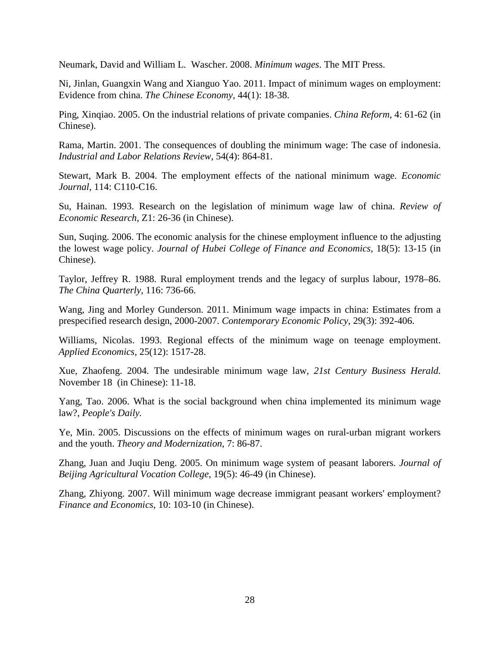Neumark, David and William L. Wascher. 2008. *Minimum wages*. The MIT Press.

Ni, Jinlan, Guangxin Wang and Xianguo Yao. 2011. Impact of minimum wages on employment: Evidence from china. *The Chinese Economy*, 44(1): 18-38.

Ping, Xinqiao. 2005. On the industrial relations of private companies. *China Reform*, 4: 61-62 (in Chinese).

Rama, Martin. 2001. The consequences of doubling the minimum wage: The case of indonesia. *Industrial and Labor Relations Review*, 54(4): 864-81.

Stewart, Mark B. 2004. The employment effects of the national minimum wage. *Economic Journal*, 114: C110-C16.

Su, Hainan. 1993. Research on the legislation of minimum wage law of china. *Review of Economic Research*, Z1: 26-36 (in Chinese).

Sun, Suqing. 2006. The economic analysis for the chinese employment influence to the adjusting the lowest wage policy. *Journal of Hubei College of Finance and Economics*, 18(5): 13-15 (in Chinese).

Taylor, Jeffrey R. 1988. Rural employment trends and the legacy of surplus labour, 1978–86. *The China Quarterly*, 116: 736-66.

Wang, Jing and Morley Gunderson. 2011. Minimum wage impacts in china: Estimates from a prespecified research design, 2000-2007. *Contemporary Economic Policy*, 29(3): 392-406.

Williams, Nicolas. 1993. Regional effects of the minimum wage on teenage employment. *Applied Economics*, 25(12): 1517-28.

Xue, Zhaofeng. 2004. The undesirable minimum wage law, *21st Century Business Herald.*  November 18 (in Chinese): 11-18.

Yang, Tao. 2006. What is the social background when china implemented its minimum wage law?, *People's Daily.* 

Ye, Min. 2005. Discussions on the effects of minimum wages on rural-urban migrant workers and the youth. *Theory and Modernization*, 7: 86-87.

Zhang, Juan and Juqiu Deng. 2005. On minimum wage system of peasant laborers. *Journal of Beijing Agricultural Vocation College*, 19(5): 46-49 (in Chinese).

Zhang, Zhiyong. 2007. Will minimum wage decrease immigrant peasant workers' employment? *Finance and Economics*, 10: 103-10 (in Chinese).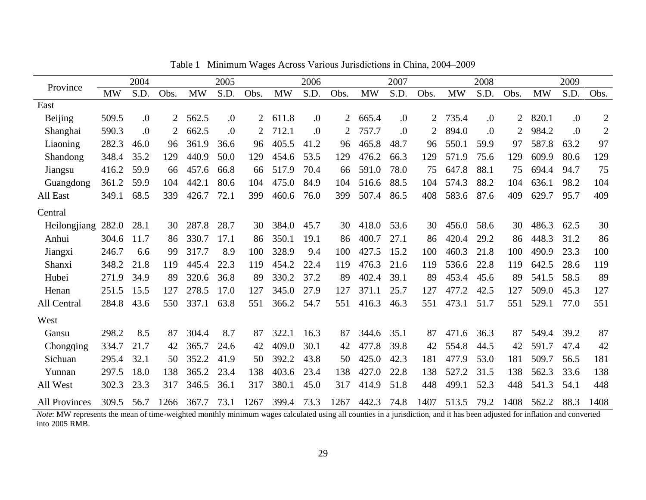<span id="page-29-0"></span>

|                      |           | 2004    |      |           | 2005       |      |           | 2006    |      |           | 2007 |      |           | 2008    |      |           | 2009             |              |
|----------------------|-----------|---------|------|-----------|------------|------|-----------|---------|------|-----------|------|------|-----------|---------|------|-----------|------------------|--------------|
| Province             | <b>MW</b> | S.D.    | Obs. | <b>MW</b> | S.D.       | Obs. | <b>MW</b> | S.D.    | Obs. | <b>MW</b> | S.D. | Obs. | <b>MW</b> | S.D.    | Obs. | <b>MW</b> | S.D.             | Obs.         |
| East                 |           |         |      |           |            |      |           |         |      |           |      |      |           |         |      |           |                  |              |
| <b>Beijing</b>       | 509.5     | 0.      | 2    | 562.5     | $\Omega$ . | 2    | 611.8     | $\cdot$ | 2    | 665.4     | 0.   | 2    | 735.4     | $\cdot$ |      | 820.1     | $\cdot$          | $\mathbf{2}$ |
| Shanghai             | 590.3     | $\cdot$ | 2    | 662.5     | 0.         | 2    | 712.1     | 0.      |      | 757.7     | 0.   | 2    | 894.0     | 0.      |      | 984.2     | $\overline{0}$ . | $\mathbf{2}$ |
| Liaoning             | 282.3     | 46.0    | 96   | 361.9     | 36.6       | 96   | 405.5     | 41.2    | 96   | 465.8     | 48.7 | 96   | 550.1     | 59.9    | 97   | 587.8     | 63.2             | 97           |
| Shandong             | 348.4     | 35.2    | 129  | 440.9     | 50.0       | 129  | 454.6     | 53.5    | 129  | 476.2     | 66.3 | 129  | 571.9     | 75.6    | 129  | 609.9     | 80.6             | 129          |
| Jiangsu              | 416.2     | 59.9    | 66   | 457.6     | 66.8       | 66   | 517.9     | 70.4    | 66   | 591.0     | 78.0 | 75   | 647.8     | 88.1    | 75   | 694.4     | 94.7             | 75           |
| Guangdong            | 361.2     | 59.9    | 104  | 442.1     | 80.6       | 104  | 475.0     | 84.9    | 104  | 516.6     | 88.5 | 104  | 574.3     | 88.2    | 104  | 636.1     | 98.2             | 104          |
| All East             | 349.1     | 68.5    | 339  | 426.7     | 72.1       | 399  | 460.6     | 76.0    | 399  | 507.4     | 86.5 | 408  | 583.6     | 87.6    | 409  | 629.7     | 95.7             | 409          |
| Central              |           |         |      |           |            |      |           |         |      |           |      |      |           |         |      |           |                  |              |
| Heilongjiang 282.0   |           | 28.1    | 30   | 287.8     | 28.7       | 30   | 384.0     | 45.7    | 30   | 418.0     | 53.6 | 30   | 456.0     | 58.6    | 30   | 486.3     | 62.5             | 30           |
| Anhui                | 304.6     | 11.7    | 86   | 330.7     | 17.1       | 86   | 350.1     | 19.1    | 86   | 400.7     | 27.1 | 86   | 420.4     | 29.2    | 86   | 448.3     | 31.2             | 86           |
| Jiangxi              | 246.7     | 6.6     | 99   | 317.7     | 8.9        | 100  | 328.9     | 9.4     | 100  | 427.5     | 15.2 | 100  | 460.3     | 21.8    | 100  | 490.9     | 23.3             | 100          |
| Shanxi               | 348.2     | 21.8    | 119  | 445.4     | 22.3       | 119  | 454.2     | 22.4    | 119  | 476.3     | 21.6 | 119  | 536.6     | 22.8    | 119  | 642.5     | 28.6             | 119          |
| Hubei                | 271.9     | 34.9    | 89   | 320.6     | 36.8       | 89   | 330.2     | 37.2    | 89   | 402.4     | 39.1 | 89   | 453.4     | 45.6    | 89   | 541.5     | 58.5             | 89           |
| Henan                | 251.5     | 15.5    | 127  | 278.5     | 17.0       | 127  | 345.0     | 27.9    | 127  | 371.1     | 25.7 | 127  | 477.2     | 42.5    | 127  | 509.0     | 45.3             | 127          |
| All Central          | 284.8     | 43.6    | 550  | 337.1     | 63.8       | 551  | 366.2     | 54.7    | 551  | 416.3     | 46.3 | 551  | 473.1     | 51.7    | 551  | 529.1     | 77.0             | 551          |
| West                 |           |         |      |           |            |      |           |         |      |           |      |      |           |         |      |           |                  |              |
| Gansu                | 298.2     | 8.5     | 87   | 304.4     | 8.7        | 87   | 322.1     | 16.3    | 87   | 344.6     | 35.1 | 87   | 471.6     | 36.3    | 87   | 549.4     | 39.2             | 87           |
| Chongqing            | 334.7     | 21.7    | 42   | 365.7     | 24.6       | 42   | 409.0     | 30.1    | 42   | 477.8     | 39.8 | 42   | 554.8     | 44.5    | 42   | 591.7     | 47.4             | 42           |
| Sichuan              | 295.4     | 32.1    | 50   | 352.2     | 41.9       | 50   | 392.2     | 43.8    | 50   | 425.0     | 42.3 | 181  | 477.9     | 53.0    | 181  | 509.7     | 56.5             | 181          |
| Yunnan               | 297.5     | 18.0    | 138  | 365.2     | 23.4       | 138  | 403.6     | 23.4    | 138  | 427.0     | 22.8 | 138  | 527.2     | 31.5    | 138  | 562.3     | 33.6             | 138          |
| All West             | 302.3     | 23.3    | 317  | 346.5     | 36.1       | 317  | 380.1     | 45.0    | 317  | 414.9     | 51.8 | 448  | 499.1     | 52.3    | 448  | 541.3     | 54.1             | 448          |
| <b>All Provinces</b> | 309.5     | 56.7    | 1266 | 367.7     | 73.1       | 1267 | 399.4     | 73.3    | 1267 | 442.3     | 74.8 | 1407 | 513.5     | 79.2    | 1408 | 562.2     | 88.3             | 1408         |

Table 1 Minimum Wages Across Various Jurisdictions in China, 2004–2009

*Note*: MW represents the mean of time-weighted monthly minimum wages calculated using all counties in a jurisdiction, and it has been adjusted for inflation and converted into 2005 RMB.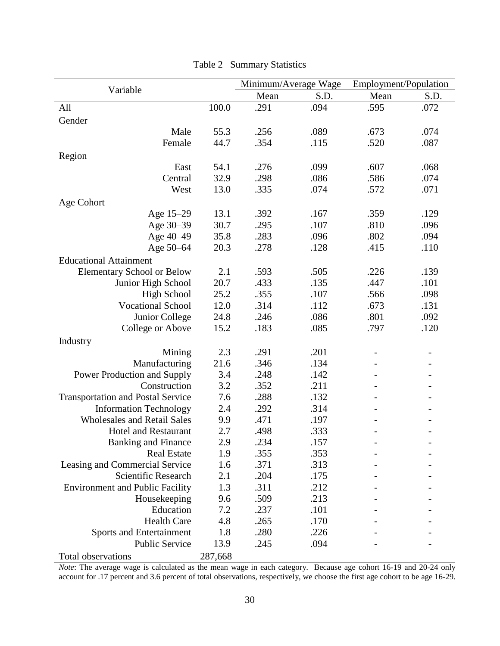<span id="page-30-0"></span>

|                                          |         | Minimum/Average Wage |      | Employment/Population |      |
|------------------------------------------|---------|----------------------|------|-----------------------|------|
| Variable                                 |         | Mean                 | S.D. | Mean                  | S.D. |
| All                                      | 100.0   | .291                 | .094 | .595                  | .072 |
| Gender                                   |         |                      |      |                       |      |
| Male                                     | 55.3    | .256                 | .089 | .673                  | .074 |
| Female                                   | 44.7    | .354                 | .115 | .520                  | .087 |
| Region                                   |         |                      |      |                       |      |
| East                                     | 54.1    | .276                 | .099 | .607                  | .068 |
| Central                                  | 32.9    | .298                 | .086 | .586                  | .074 |
| West                                     | 13.0    | .335                 | .074 | .572                  | .071 |
| Age Cohort                               |         |                      |      |                       |      |
| Age 15-29                                | 13.1    | .392                 | .167 | .359                  | .129 |
| Age 30-39                                | 30.7    | .295                 | .107 | .810                  | .096 |
| Age 40-49                                | 35.8    | .283                 | .096 | .802                  | .094 |
| Age 50-64                                | 20.3    | .278                 | .128 | .415                  | .110 |
| <b>Educational Attainment</b>            |         |                      |      |                       |      |
| <b>Elementary School or Below</b>        | 2.1     | .593                 | .505 | .226                  | .139 |
| Junior High School                       | 20.7    | .433                 | .135 | .447                  | .101 |
| <b>High School</b>                       | 25.2    | .355                 | .107 | .566                  | .098 |
| <b>Vocational School</b>                 | 12.0    | .314                 | .112 | .673                  | .131 |
| Junior College                           | 24.8    | .246                 | .086 | .801                  | .092 |
| College or Above                         | 15.2    | .183                 | .085 | .797                  | .120 |
|                                          |         |                      |      |                       |      |
| Industry                                 |         |                      |      |                       |      |
| Mining                                   | 2.3     | .291                 | .201 |                       |      |
| Manufacturing                            | 21.6    | .346                 | .134 |                       |      |
| Power Production and Supply              | 3.4     | .248                 | .142 |                       |      |
| Construction                             | 3.2     | .352                 | .211 |                       |      |
| <b>Transportation and Postal Service</b> | 7.6     | .288                 | .132 |                       |      |
| <b>Information Technology</b>            | 2.4     | .292                 | .314 |                       |      |
| <b>Wholesales and Retail Sales</b>       | 9.9     | .471                 | .197 |                       |      |
| <b>Hotel and Restaurant</b>              | 2.7     | .498                 | .333 |                       |      |
| <b>Banking and Finance</b>               | 2.9     | .234                 | .157 |                       |      |
| <b>Real Estate</b>                       | 1.9     | .355                 | .353 |                       |      |
| Leasing and Commercial Service           | 1.6     | .371                 | .313 |                       |      |
| Scientific Research                      | 2.1     | .204                 | .175 |                       |      |
| <b>Environment and Public Facility</b>   | 1.3     | .311                 | .212 |                       |      |
| Housekeeping                             | 9.6     | .509                 | .213 |                       |      |
| Education                                | 7.2     | .237                 | .101 |                       |      |
| <b>Health Care</b>                       | 4.8     | .265                 | .170 |                       |      |
| Sports and Entertainment                 | 1.8     | .280                 | .226 |                       |      |
| Public Service                           | 13.9    | .245                 | .094 |                       |      |
| Total observations                       | 287,668 |                      |      |                       |      |

Table 2 Summary Statistics

*Note*: The average wage is calculated as the mean wage in each category. Because age cohort 16-19 and 20-24 only account for .17 percent and 3.6 percent of total observations, respectively, we choose the first age cohort to be age 16-29.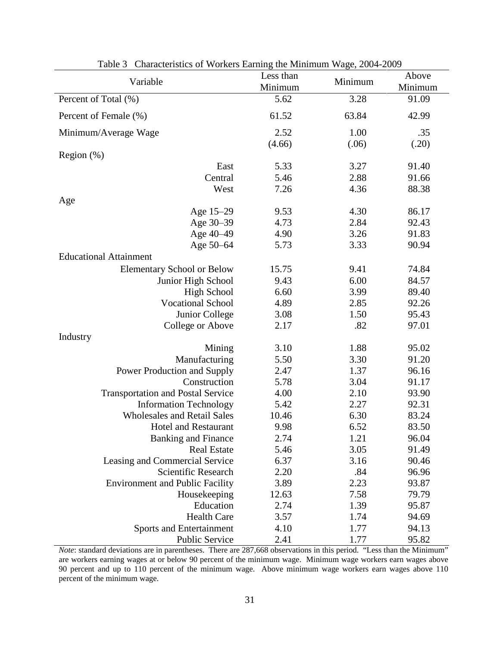<span id="page-31-0"></span>

| $\alpha$ characteristics of $\alpha$ of Kers Earning the Minimiam $\alpha$ age, 200 (200)<br>Variable | Less than<br>Minimum | Minimum | Above<br>Minimum |
|-------------------------------------------------------------------------------------------------------|----------------------|---------|------------------|
| Percent of Total (%)                                                                                  | 5.62                 | 3.28    | 91.09            |
| Percent of Female (%)                                                                                 | 61.52                | 63.84   | 42.99            |
| Minimum/Average Wage                                                                                  | 2.52                 | 1.00    | .35              |
|                                                                                                       | (4.66)               | (.06)   | (.20)            |
| Region $(\%)$                                                                                         |                      |         |                  |
| East                                                                                                  | 5.33                 | 3.27    | 91.40            |
| Central                                                                                               | 5.46                 | 2.88    | 91.66            |
| West                                                                                                  | 7.26                 | 4.36    | 88.38            |
| Age                                                                                                   |                      |         |                  |
| Age 15-29                                                                                             | 9.53                 | 4.30    | 86.17            |
| Age 30-39                                                                                             | 4.73                 | 2.84    | 92.43            |
| Age 40-49                                                                                             | 4.90                 | 3.26    | 91.83            |
| Age 50-64                                                                                             | 5.73                 | 3.33    | 90.94            |
| <b>Educational Attainment</b>                                                                         |                      |         |                  |
| <b>Elementary School or Below</b>                                                                     | 15.75                | 9.41    | 74.84            |
| Junior High School                                                                                    | 9.43                 | 6.00    | 84.57            |
| <b>High School</b>                                                                                    | 6.60                 | 3.99    | 89.40            |
| <b>Vocational School</b>                                                                              | 4.89                 | 2.85    | 92.26            |
| Junior College                                                                                        | 3.08                 | 1.50    | 95.43            |
| College or Above                                                                                      | 2.17                 | .82     | 97.01            |
| Industry                                                                                              |                      |         |                  |
| Mining                                                                                                | 3.10                 | 1.88    | 95.02            |
| Manufacturing                                                                                         | 5.50                 | 3.30    | 91.20            |
| Power Production and Supply                                                                           | 2.47                 | 1.37    | 96.16            |
| Construction                                                                                          | 5.78                 | 3.04    | 91.17            |
| <b>Transportation and Postal Service</b>                                                              | 4.00                 | 2.10    | 93.90            |
| <b>Information Technology</b>                                                                         | 5.42                 | 2.27    | 92.31            |
| <b>Wholesales and Retail Sales</b>                                                                    | 10.46                | 6.30    | 83.24            |
| <b>Hotel and Restaurant</b>                                                                           | 9.98                 | 6.52    | 83.50            |
| <b>Banking and Finance</b>                                                                            | 2.74                 | 1.21    | 96.04            |
| <b>Real Estate</b>                                                                                    | 5.46                 | 3.05    | 91.49            |
| Leasing and Commercial Service                                                                        | 6.37                 | 3.16    | 90.46            |
| Scientific Research                                                                                   | 2.20                 | .84     | 96.96            |
| <b>Environment and Public Facility</b>                                                                | 3.89                 | 2.23    | 93.87            |
| Housekeeping                                                                                          | 12.63                | 7.58    | 79.79            |
| Education                                                                                             | 2.74                 | 1.39    | 95.87            |
| <b>Health Care</b>                                                                                    | 3.57                 | 1.74    | 94.69            |
| Sports and Entertainment                                                                              | 4.10                 | 1.77    | 94.13            |
| Public Service                                                                                        | 2.41                 | 1.77    | 95.82            |
|                                                                                                       |                      |         |                  |

Table 3 Characteristics of Workers Earning the Minimum Wage, 2004-2009

*Note*: standard deviations are in parentheses. There are 287,668 observations in this period. "Less than the Minimum" are workers earning wages at or below 90 percent of the minimum wage. Minimum wage workers earn wages above 90 percent and up to 110 percent of the minimum wage. Above minimum wage workers earn wages above 110 percent of the minimum wage.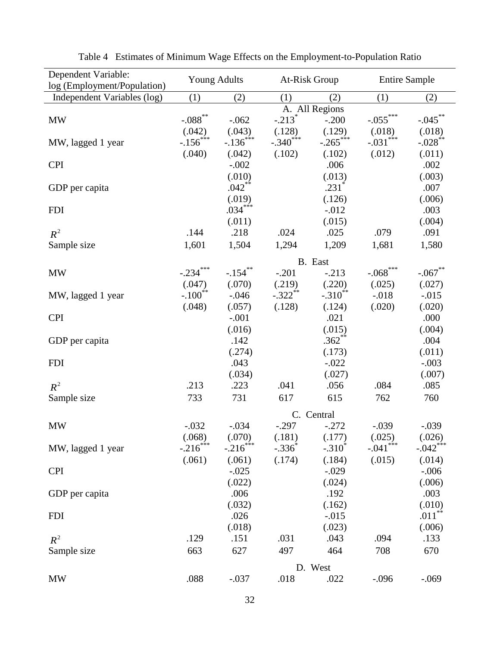<span id="page-32-0"></span>

| Dependent Variable:<br>log (Employment/Population) | <b>Young Adults</b>         |                        | At-Risk Group         |                       | <b>Entire Sample</b>   |                        |
|----------------------------------------------------|-----------------------------|------------------------|-----------------------|-----------------------|------------------------|------------------------|
| Independent Variables (log)                        | (1)<br>(2)                  |                        | (1)                   | (2)                   | (1)                    | (2)                    |
|                                                    |                             |                        |                       | A. All Regions        |                        |                        |
| <b>MW</b>                                          | $\textbf{-.088}^{\ast\ast}$ | $-.062$                | $-.213$ <sup>*</sup>  | $-.200$               | $-.055***$             | $-.045$ **             |
|                                                    | (.042)                      | (.043)                 | (.128)                | (.129)                | (.018)                 | (.018)                 |
| MW, lagged 1 year                                  | $-.156$ <sup>***</sup>      | $-.136***$             | $-.340***$            | $-.265***$            | $-.031***$             | $-.028$ <sup>**</sup>  |
|                                                    | (.040)                      | (.042)                 | (.102)                | (.102)                | (.012)                 | (.011)                 |
| <b>CPI</b>                                         |                             | $-.002$                |                       | .006                  |                        | .002                   |
|                                                    |                             | (.010)                 |                       | (.013)                |                        | (.003)                 |
| GDP per capita                                     |                             | $.042$ **              |                       | $.231$ <sup>*</sup>   |                        | .007                   |
|                                                    |                             | (.019)                 |                       | (.126)                |                        | (.006)                 |
| <b>FDI</b>                                         |                             | $.034***$              |                       | $-0.012$              |                        | .003                   |
|                                                    |                             | (.011)                 |                       | (.015)                |                        | (.004)                 |
| $R^2$                                              | .144                        | .218                   | .024                  | .025                  | .079                   | .091                   |
| Sample size                                        | 1,601                       | 1,504                  | 1,294                 | 1,209                 | 1,681                  | 1,580                  |
|                                                    |                             |                        |                       | B. East               |                        |                        |
| <b>MW</b>                                          | $-.234***$                  | $-.154$ **             | $-.201$               | $-.213$               | $-.068$ ***            | $-.067$ **             |
|                                                    | (.047)                      | (.070)                 | (.219)                | (.220)                | (.025)                 | (.027)                 |
| MW, lagged 1 year                                  | $-.100$ <sup>**</sup>       | $-.046$                | $-.322$ <sup>**</sup> | $-.310$ <sup>**</sup> | $-.018$                | $-0.015$               |
|                                                    | (.048)                      | (.057)                 | (.128)                | (.124)                | (.020)                 | (.020)                 |
| <b>CPI</b>                                         |                             | $-.001$                |                       | .021                  |                        | .000                   |
|                                                    |                             | (.016)                 |                       | (.015)                |                        | (.004)                 |
| GDP per capita                                     |                             | .142                   |                       | $.362**$              |                        | .004                   |
|                                                    |                             | (.274)                 |                       | (.173)                |                        | (.011)                 |
| <b>FDI</b>                                         |                             | .043                   |                       | $-.022$               |                        | $-.003$                |
|                                                    |                             | (.034)                 |                       | (.027)                |                        | (.007)                 |
| $R^2$                                              | .213                        | .223                   | .041                  | .056                  | .084                   | .085                   |
| Sample size                                        | 733                         | 731                    | 617                   | 615                   | 762                    | 760                    |
|                                                    |                             |                        |                       | C. Central            |                        |                        |
| <b>MW</b>                                          | $-.032$                     | $-.034$                | $-.297$               | $-.272$               | $-.039$                | $-.039$                |
|                                                    | (.068)                      | (.070)                 | (.181)                | (.177)                | (.025)                 | (.026)                 |
| MW, lagged 1 year                                  | $-.216$ <sup>***</sup>      | $-.216$ <sup>***</sup> | $-.336$               | $-.310$ <sup>*</sup>  | $-.041$ <sup>***</sup> | $-.042$ <sup>***</sup> |
|                                                    | (.061)                      | (.061)                 | (.174)                | (.184)                | (.015)                 | (.014)                 |
| <b>CPI</b>                                         |                             | $-.025$                |                       | $-.029$               |                        | $-.006$                |
|                                                    |                             | (.022)                 |                       | (.024)                |                        | (.006)                 |
| GDP per capita                                     |                             | .006                   |                       | .192                  |                        | .003                   |
|                                                    |                             | (.032)                 |                       | (.162)                |                        | (.010)                 |
| <b>FDI</b>                                         |                             | .026                   |                       | $-.015$               |                        | $.011***$              |
|                                                    |                             | (.018)                 |                       | (.023)                |                        | (.006)                 |
| $R^2$                                              | .129                        | .151                   | .031                  | .043                  | .094                   | .133                   |
| Sample size                                        | 663                         | 627                    | 497                   | 464                   | 708                    | 670                    |
|                                                    |                             |                        |                       | D. West               |                        |                        |
| <b>MW</b>                                          | .088                        | $-.037$                | .018                  | .022                  | $-.096$                | $-.069$                |

Table 4 Estimates of Minimum Wage Effects on the Employment-to-Population Ratio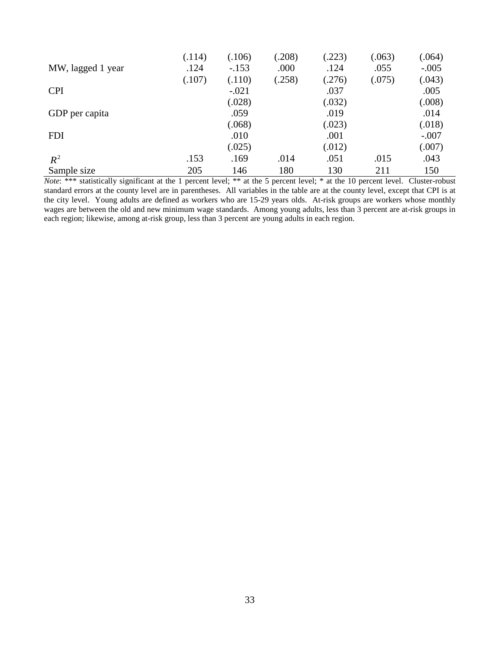|                   | (.114) | (.106)  | (.208) | (223)  | (.063) | (.064)  |
|-------------------|--------|---------|--------|--------|--------|---------|
| MW, lagged 1 year | .124   | $-.153$ | .000   | .124   | .055   | $-.005$ |
|                   | (.107) | (.110)  | (.258) | (.276) | (.075) | (.043)  |
| <b>CPI</b>        |        | $-.021$ |        | .037   |        | .005    |
|                   |        | (.028)  |        | (.032) |        | (.008)  |
| GDP per capita    |        | .059    |        | .019   |        | .014    |
|                   |        | (.068)  |        | (.023) |        | (.018)  |
| <b>FDI</b>        |        | .010    |        | .001   |        | $-.007$ |
|                   |        | (.025)  |        | (.012) |        | (.007)  |
| $R^2$             | .153   | .169    | .014   | .051   | .015   | .043    |
| Sample size       | 205    | 146     | 180    | 130    | 211    | 150     |

*Note*: \*\*\* statistically significant at the 1 percent level; \*\* at the 5 percent level; \* at the 10 percent level. Cluster-robust standard errors at the county level are in parentheses. All variables in the table are at the county level, except that CPI is at the city level. Young adults are defined as workers who are 15-29 years olds. At-risk groups are workers whose monthly wages are between the old and new minimum wage standards. Among young adults, less than 3 percent are at-risk groups in each region; likewise, among at-risk group, less than 3 percent are young adults in each region.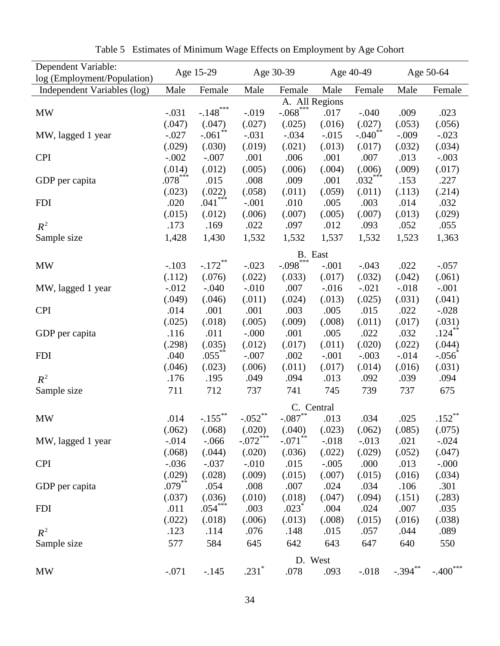<span id="page-34-0"></span>

| Dependent Variable:<br>log (Employment/Population) |           | Age 15-29             |            | Age 30-39             |          | Age 40-49             |            | Age 50-64            |
|----------------------------------------------------|-----------|-----------------------|------------|-----------------------|----------|-----------------------|------------|----------------------|
| Independent Variables (log)                        | Male      | Female                | Male       | Female                | Male     | Female                | Male       | Female               |
|                                                    |           |                       |            | A. All Regions        |          |                       |            |                      |
| <b>MW</b>                                          | $-.031$   | $-.148$ ***           | $-0.019$   | $-.068***$            | .017     | $-.040$               | .009       | .023                 |
|                                                    | (.047)    | (.047)                | (.027)     | (.025)                | (.016)   | (.027)                | (.053)     | (.056)               |
| MW, lagged 1 year                                  | $-.027$   | $-.061$ <sup>**</sup> | $-.031$    | $-.034$               | $-0.015$ | $-.040$ <sup>**</sup> | $-.009$    | $-.023$              |
|                                                    | (.029)    | (.030)                | (.019)     | (.021)                | (.013)   | (.017)                | (.032)     | (.034)               |
| <b>CPI</b>                                         | $-.002$   | $-.007$               | .001       | .006                  | .001     | .007                  | .013       | $-.003$              |
|                                                    | (.014)    | (.012)                | (.005)     | (.006)                | (.004)   | (.006)                | (.009)     | (.017)               |
|                                                    | $.078***$ | .015                  | .008       | .009                  | .001     | $.032***$             | .153       | .227                 |
| GDP per capita                                     |           | (.022)                |            |                       |          |                       |            |                      |
|                                                    | (.023)    | $.041***$             | (.058)     | (.011)                | (.059)   | (.011)                | (.113)     | (.214)               |
| <b>FDI</b>                                         | .020      |                       | $-.001$    | .010                  | .005     | .003                  | .014       | .032                 |
|                                                    | (.015)    | (.012)                | (.006)     | (.007)                | (.005)   | (.007)                | (.013)     | (.029)               |
| $R^2$                                              | .173      | .169                  | .022       | .097                  | .012     | .093                  | .052       | .055                 |
| Sample size                                        | 1,428     | 1,430                 | 1,532      | 1,532                 | 1,537    | 1,532                 | 1,523      | 1,363                |
|                                                    |           |                       |            | B. East               |          |                       |            |                      |
| <b>MW</b>                                          | $-.103$   | $-.172$ <sup>**</sup> | $-.023$    | $-.098***$            | $-.001$  | $-.043$               | .022       | $-.057$              |
|                                                    | (.112)    | (.076)                | (.022)     | (.033)                | (.017)   | (.032)                | (.042)     | (.061)               |
| MW, lagged 1 year                                  | $-0.012$  | $-.040$               | $-.010$    | .007                  | $-0.016$ | $-.021$               | $-.018$    | $-.001$              |
|                                                    | (.049)    | (.046)                | (.011)     | (.024)                | (.013)   | (.025)                | (.031)     | (.041)               |
| <b>CPI</b>                                         | .014      | .001                  | .001       | .003                  | .005     | .015                  | .022       | $-.028$              |
|                                                    | (.025)    | (.018)                | (.005)     | (.009)                | (.008)   | (.011)                | (.017)     | (.031)               |
| GDP per capita                                     | .116      | .011                  | $-.000$    | .001                  | .005     | .022                  | .032       | $.124***$            |
|                                                    | (.298)    | (.035)                | (.012)     | (.017)                | (.011)   | (.020)                | (.022)     | (.044)               |
| <b>FDI</b>                                         | .040      | $.055***$             | $-.007$    | .002                  | $-.001$  | $-.003$               | $-0.014$   | $-.056$ <sup>*</sup> |
|                                                    | (.046)    | (.023)                | (.006)     | (.011)                | (.017)   | (.014)                | (.016)     | (.031)               |
| $R^2$                                              | .176      | .195                  | .049       | .094                  | .013     | .092                  | .039       | .094                 |
| Sample size                                        | 711       | 712                   | 737        | 741                   | 745      | 739                   | 737        | 675                  |
|                                                    |           |                       |            | C. Central            |          |                       |            |                      |
| <b>MW</b>                                          | .014      | $-.155$ <sup>**</sup> | $-.052$ ** | $-.087$ **            | .013     | .034                  | .025       | $.152***$            |
|                                                    | (.062)    | (.068)                | (.020)     | (.040)                | (.023)   | (.062)                | (.085)     | (.075)               |
| MW, lagged 1 year                                  | $-.014$   | $-0.066$              | $-.072***$ | $-.071$ <sup>**</sup> | $-.018$  | $-.013$               | .021       | $-.024$              |
|                                                    | (.068)    | (.044)                | (.020)     | (.036)                | (.022)   | (.029)                | (.052)     | (.047)               |
| <b>CPI</b>                                         | $-0.036$  | $-.037$               | $-.010$    | .015                  | $-.005$  | .000                  | .013       | $-.000$              |
|                                                    | (.029)    | (.028)                | (.009)     | (.015)                | (.007)   | (.015)                | (.016)     | (.034)               |
| GDP per capita                                     | $.079***$ | .054                  | .008       | .007                  | .024     | .034                  | .106       | .301                 |
|                                                    | (.037)    | (.036)                | (.010)     | (.018)                | (.047)   | (.094)                | (.151)     | (.283)               |
| <b>FDI</b>                                         | .011      | $.054***$             | .003       | $.023$ <sup>*</sup>   | .004     | .024                  | .007       | .035                 |
|                                                    | (.022)    | (.018)                | (.006)     | (.013)                | (.008)   | (.015)                | (.016)     | (.038)               |
| $R^2$                                              | .123      | .114                  | .076       | .148                  | .015     | .057                  | .044       | .089                 |
|                                                    | 577       | 584                   |            |                       | 643      |                       |            |                      |
| Sample size                                        |           |                       | 645        | 642                   |          | 647                   | 640        | 550                  |
|                                                    |           |                       |            | D. West               |          |                       |            |                      |
| <b>MW</b>                                          | $-.071$   | $-.145$               | $.231*$    | .078                  | .093     | $-.018$               | $-.394***$ | $-.400***$           |

Table 5 Estimates of Minimum Wage Effects on Employment by Age Cohort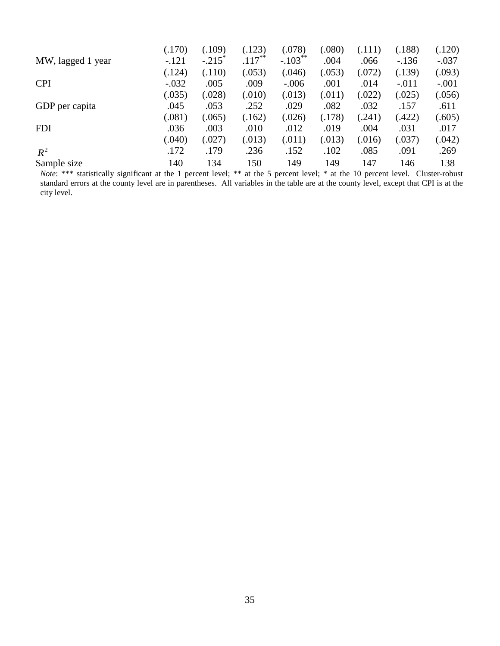|                                                           | (.170)  | (.109)            | (.123)    | (.078)                                             | (.080) | (.111) | (.188)  | (.120)         |
|-----------------------------------------------------------|---------|-------------------|-----------|----------------------------------------------------|--------|--------|---------|----------------|
| MW, lagged 1 year                                         | $-.121$ | $-.215$           | $.117***$ | $-.103$ <sup>**</sup>                              | .004   | .066   | $-136$  | $-.037$        |
|                                                           | (.124)  | (.110)            | (.053)    | (.046)                                             | (.053) | (.072) | (.139)  | (.093)         |
| <b>CPI</b>                                                | $-.032$ | .005              | .009      | $-.006$                                            | .001   | .014   | $-.011$ | $-.001$        |
|                                                           | (.035)  | (.028)            | (.010)    | (.013)                                             | (.011) | (.022) | (.025)  | (.056)         |
| GDP per capita                                            | .045    | .053              | .252      | .029                                               | .082   | .032   | .157    | .611           |
|                                                           | (.081)  | (.065)            | (.162)    | (.026)                                             | (.178) | (.241) | (.422)  | (.605)         |
| <b>FDI</b>                                                | .036    | .003              | .010      | .012                                               | .019   | .004   | .031    | .017           |
|                                                           | (.040)  | (.027)            | (.013)    | (.011)                                             | (.013) | (.016) | (.037)  | (.042)         |
| $R^2$                                                     | .172    | .179              | .236      | .152                                               | .102   | .085   | .091    | .269           |
| Sample size                                               | 140     | 134               | 150       | 149                                                | 149    | 147    | 146     | 138            |
| <i>Note</i> : $***$<br>statistically significant at the 1 |         | nercent level: ** |           | at the 5 percent level: * at the 10 percent level. |        |        |         | Cluster-robust |

*Note*: \*\*\* statistically significant at the 1 percent level; \*\* at the 5 percent level; \* at the 10 percent level. Cluster-robust standard errors at the county level are in parentheses. All variables in the table are at the county level, except that CPI is at the city level.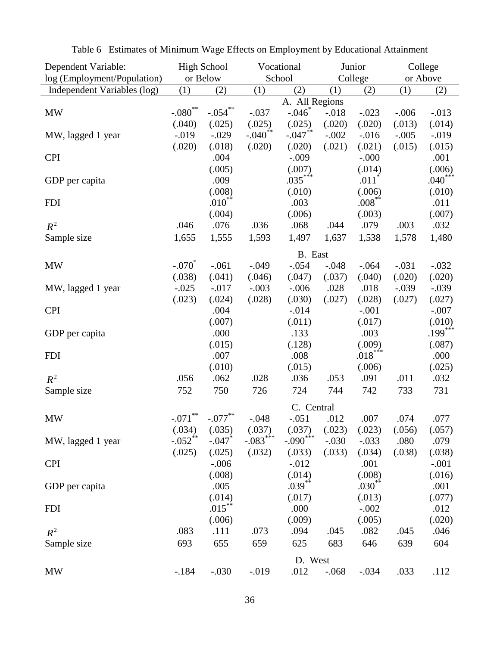| Dependent Variable:         |                             | <b>High School</b> | Vocational            |                       |         | Junior              |          | College   |
|-----------------------------|-----------------------------|--------------------|-----------------------|-----------------------|---------|---------------------|----------|-----------|
| log (Employment/Population) |                             | or Below           | School                |                       | College |                     | or Above |           |
| Independent Variables (log) | (1)                         | (2)                | (1)                   | (2)                   | (1)     | (2)                 | (1)      | (2)       |
|                             |                             |                    |                       | A. All Regions        |         |                     |          |           |
| <b>MW</b>                   | $\textbf{-.080}^{\ast\ast}$ | $-.054***$         | $-.037$               | $-.046$               | $-.018$ | $-.023$             | $-.006$  | $-0.013$  |
|                             | (.040)                      | (.025)             | (.025)                | (.025)                | (.020)  | (.020)              | (.013)   | (.014)    |
| MW, lagged 1 year           | $-0.019$                    | $-.029$            | $-.040$ <sup>**</sup> | $-.047$ <sup>**</sup> | $-.002$ | $-0.016$            | $-.005$  | $-0.019$  |
|                             | (.020)                      | (.018)             | (.020)                | (.020)                | (.021)  | (.021)              | (.015)   | (.015)    |
| <b>CPI</b>                  |                             | .004               |                       | $-.009$               |         | $-0.000$            |          | .001      |
|                             |                             | (.005)             |                       | (.007)                |         | (.014)              |          | (.006)    |
| GDP per capita              |                             | .009               |                       | $.035***$             |         | $.011$ <sup>*</sup> |          | $.040***$ |
|                             |                             | (.008)             |                       | (.010)                |         | (.006)              |          | (.010)    |
| <b>FDI</b>                  |                             | $.010^{**}$        |                       | .003                  |         | $.008***$           |          | .011      |
|                             |                             | (.004)             |                       | (.006)                |         | (.003)              |          | (.007)    |
| $R^2$                       | .046                        | .076               | .036                  | .068                  | .044    | .079                | .003     | .032      |
| Sample size                 | 1,655                       | 1,555              | 1,593                 | 1,497                 | 1,637   | 1,538               | 1,578    | 1,480     |
|                             |                             |                    |                       | B. East               |         |                     |          |           |
| <b>MW</b>                   | $-.070^*$                   | $-.061$            | $-0.049$              | $-.054$               | $-.048$ | $-.064$             | $-.031$  | $-.032$   |
|                             | (.038)                      | (.041)             | (.046)                | (.047)                | (.037)  | (.040)              | (.020)   | (.020)    |
| MW, lagged 1 year           | $-.025$                     | $-.017$            | $-.003$               | $-.006$               | .028    | .018                | $-.039$  | $-.039$   |
|                             | (.023)                      | (.024)             | (.028)                | (.030)                | (.027)  | (.028)              | (.027)   | (.027)    |
| <b>CPI</b>                  |                             | .004               |                       | $-0.014$              |         | $-.001$             |          | $-.007$   |
|                             |                             | (.007)             |                       | (.011)                |         | (.017)              |          | (.010)    |
| GDP per capita              |                             | .000               |                       | .133                  |         | .003                |          | $.199***$ |
|                             |                             | (.015)             |                       | (.128)                |         | (.009)              |          | (.087)    |
| <b>FDI</b>                  |                             | .007               |                       | .008                  |         | $.018***$           |          | .000      |
|                             |                             | (.010)             |                       | (.015)                |         | (.006)              |          | (.025)    |
| $R^2$                       | .056                        | .062               | .028                  | .036                  | .053    | .091                | .011     | .032      |
| Sample size                 | 752                         | 750                | 726                   | 724                   | 744     | 742                 | 733      | 731       |
|                             |                             |                    |                       | C. Central            |         |                     |          |           |
| <b>MW</b>                   | $-.071$ **                  | $-.077$ **         | $-.048$               | $-.051$               | .012    | .007                | .074     | .077      |
|                             | (.034)                      | (.035)             | (.037)                | (.037)                | (.023)  | (.023)              | (.056)   | (.057)    |
| MW, lagged 1 year           | $-.052**$                   | $-.047$            | $-.083***$            | $-.090***$            | $-.030$ | $-.033$             | .080     | .079      |
|                             | (.025)                      | (.025)             | (.032)                | (.033)                | (.033)  | (.034)              | (.038)   | (.038)    |
| <b>CPI</b>                  |                             | $-.006$            |                       | $-0.012$              |         | .001                |          | $-.001$   |
|                             |                             | (.008)             |                       | (.014)                |         | (.008)              |          | (.016)    |
| GDP per capita              |                             | .005               |                       | $.039***$             |         | $.030***$           |          | .001      |
|                             |                             | (.014)             |                       | (.017)                |         | (.013)              |          | (.077)    |
| <b>FDI</b>                  |                             | $.015***$          |                       | .000                  |         | $-.002$             |          | .012      |
|                             |                             | (.006)             |                       | (.009)                |         | (.005)              |          | (.020)    |
| $R^2$                       | .083                        | .111               | .073                  | .094                  | .045    | .082                | .045     | .046      |
| Sample size                 | 693                         | 655                | 659                   | 625                   | 683     | 646                 | 639      | 604       |
|                             |                             |                    |                       | D. West               |         |                     |          |           |
| <b>MW</b>                   | $-184$                      | $-.030$            | $-0.019$              | .012                  | $-.068$ | $-.034$             | .033     | .112      |
|                             |                             |                    |                       |                       |         |                     |          |           |

<span id="page-36-0"></span>

| Table 6 Estimates of Minimum Wage Effects on Employment by Educational Attainment |  |  |  |
|-----------------------------------------------------------------------------------|--|--|--|
|                                                                                   |  |  |  |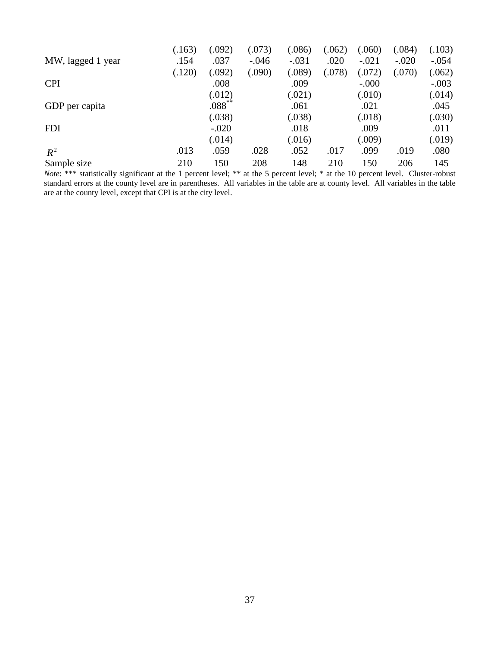|                   | (.163) | (.092)      | (.073)  | (.086)  | (.062) | (.060)  | (.084)  | (.103)  |
|-------------------|--------|-------------|---------|---------|--------|---------|---------|---------|
| MW, lagged 1 year | .154   | .037        | $-.046$ | $-.031$ | .020   | $-.021$ | $-.020$ | $-.054$ |
|                   | (.120) | (.092)      | (.090)  | (.089)  | (.078) | (.072)  | (.070)  | (.062)  |
| <b>CPI</b>        |        | .008        |         | .009    |        | $-.000$ |         | $-.003$ |
|                   |        | (.012)      |         | (.021)  |        | (.010)  |         | (.014)  |
| GDP per capita    |        | $.088^{**}$ |         | .061    |        | .021    |         | .045    |
|                   |        | (.038)      |         | (.038)  |        | (.018)  |         | (.030)  |
| <b>FDI</b>        |        | $-.020$     |         | .018    |        | .009    |         | .011    |
|                   |        | (.014)      |         | (.016)  |        | (.009)  |         | (.019)  |
| $R^2$             | .013   | .059        | .028    | .052    | .017   | .099    | .019    | .080    |
| Sample size       | 210    | 150         | 208     | 148     | 210    | 150     | 206     | 145     |

*Note*: \*\*\* statistically significant at the 1 percent level; \*\* at the 5 percent level; \* at the 10 percent level. Cluster-robust standard errors at the county level are in parentheses. All variables in the table are at county level. All variables in the table are at the county level, except that CPI is at the city level.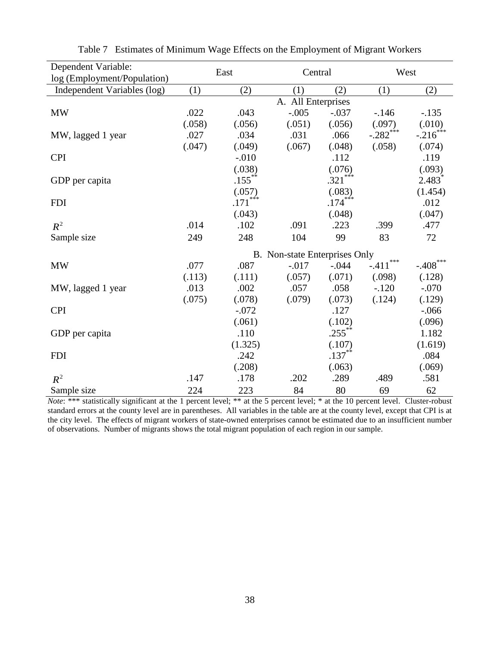| Dependent Variable:         |                    | East                          | Central  |           | West           |                        |  |
|-----------------------------|--------------------|-------------------------------|----------|-----------|----------------|------------------------|--|
| log (Employment/Population) |                    |                               |          |           |                |                        |  |
| Independent Variables (log) | (1)                | (2)                           | (1)      | (2)       | (1)            | (2)                    |  |
|                             | A. All Enterprises |                               |          |           |                |                        |  |
| MW                          | .022               | .043                          | $-.005$  | $-.037$   | $-146$         | $-.135$                |  |
|                             | (.058)             | (.056)                        | (.051)   | (.056)    | (.097)         | (.010)                 |  |
| MW, lagged 1 year           | .027               | .034                          | .031     | .066      | $-.282***$     | $-.216$ <sup>***</sup> |  |
|                             | (.047)             | (.049)                        | (.067)   | (.048)    | (.058)         | (.074)                 |  |
| <b>CPI</b>                  |                    | $-.010$                       |          | .112      |                | .119                   |  |
|                             |                    | (.038)                        |          | (.076)    |                | (.093)                 |  |
| GDP per capita              |                    | $.155***$                     |          | $.321***$ |                | $2.483^*$              |  |
|                             |                    | (.057)                        |          | (.083)    |                | (1.454)                |  |
| <b>FDI</b>                  |                    | $.171***$                     |          | $.174***$ |                | .012                   |  |
|                             |                    | (.043)                        |          | (.048)    |                | (.047)                 |  |
| $R^2$                       | .014               | .102                          | .091     | .223      | .399           | .477                   |  |
| Sample size                 | 249                | 248                           | 104      | 99        | 83             | 72                     |  |
|                             |                    | B. Non-state Enterprises Only |          |           |                |                        |  |
| <b>MW</b>                   | .077               | .087                          | $-0.017$ | $-.044$   | ***<br>$-.411$ | $-.408$ ***            |  |
|                             | (.113)             | (.111)                        | (.057)   | (.071)    | (.098)         | (.128)                 |  |
| MW, lagged 1 year           | .013               | .002                          | .057     | .058      | $-.120$        | $-.070$                |  |
|                             | (.075)             | (.078)                        | (.079)   | (.073)    | (.124)         | (.129)                 |  |
| <b>CPI</b>                  |                    | $-.072$                       |          | .127      |                | $-0.066$               |  |
|                             |                    | (.061)                        |          | (.102)    |                | (.096)                 |  |
| GDP per capita              |                    | .110                          |          | $.255***$ |                | 1.182                  |  |
|                             |                    | (1.325)                       |          | (.107)    |                | (1.619)                |  |
| <b>FDI</b>                  |                    | .242                          |          | $.137***$ |                | .084                   |  |
|                             |                    | (.208)                        |          | (.063)    |                | (.069)                 |  |
| $R^2$                       | .147               | .178                          | .202     | .289      | .489           | .581                   |  |
| Sample size                 | 224                | 223                           | 84       | 80        | 69             | 62                     |  |

<span id="page-38-0"></span>

|  |  | Table 7 Estimates of Minimum Wage Effects on the Employment of Migrant Workers |  |  |  |
|--|--|--------------------------------------------------------------------------------|--|--|--|
|--|--|--------------------------------------------------------------------------------|--|--|--|

*Note*: \*\*\* statistically significant at the 1 percent level; \*\* at the 5 percent level; \* at the 10 percent level. Cluster-robust standard errors at the county level are in parentheses. All variables in the table are at the county level, except that CPI is at the city level. The effects of migrant workers of state-owned enterprises cannot be estimated due to an insufficient number of observations. Number of migrants shows the total migrant population of each region in our sample.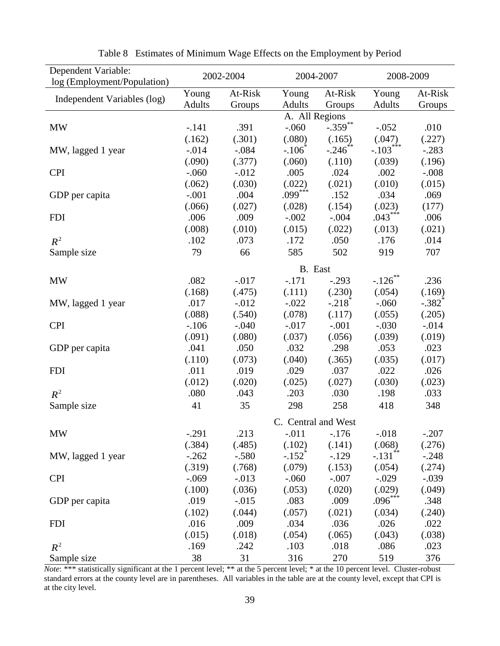<span id="page-39-0"></span>

| Dependent Variable:<br>log (Employment/Population) | 2002-2004                                                                     |          | 2004-2007            |                      | 2008-2009             |                      |
|----------------------------------------------------|-------------------------------------------------------------------------------|----------|----------------------|----------------------|-----------------------|----------------------|
|                                                    | Young                                                                         | At-Risk  | Young                | At-Risk              | Young                 | At-Risk              |
| Independent Variables (log)                        | <b>Adults</b>                                                                 | Groups   | Adults               | Groups               | Adults                | Groups               |
|                                                    |                                                                               |          |                      |                      |                       |                      |
| <b>MW</b>                                          | A. All Regions<br>$-.359$ **<br>$-.060$<br>$-.141$<br>.391<br>$-.052$<br>.010 |          |                      |                      |                       |                      |
|                                                    | (.162)                                                                        | (.301)   | (.080)               | (.165)               | (.047)                | (.227)               |
| MW, lagged 1 year                                  | $-0.014$                                                                      | $-.084$  | $-.106$              | $-.246$ **           | $-.103***$            | $-.283$              |
|                                                    | (.090)                                                                        | (.377)   | (.060)               | (.110)               | (.039)                | (.196)               |
| <b>CPI</b>                                         | $-.060$                                                                       | $-0.012$ | .005                 | .024                 | .002                  | $-.008$              |
|                                                    | (.062)                                                                        | (.030)   | (.022)               | (.021)               | (.010)                | (.015)               |
| GDP per capita                                     | $-.001$                                                                       | .004     | $.099***$            | .152                 | .034                  | .069                 |
|                                                    | (.066)                                                                        | (.027)   | (.028)               | (.154)               | (.023)                | (177)                |
| <b>FDI</b>                                         | .006                                                                          | .009     | $-.002$              | $-.004$              | $.043***$             | .006                 |
|                                                    | (.008)                                                                        | (.010)   | (.015)               | (.022)               | (.013)                | (.021)               |
| $R^2$                                              | .102                                                                          | .073     | .172                 | .050                 | .176                  | .014                 |
|                                                    | 79                                                                            | 66       | 585                  | 502                  | 919                   | 707                  |
| Sample size                                        |                                                                               |          |                      |                      |                       |                      |
|                                                    | B. East                                                                       |          |                      |                      |                       |                      |
| <b>MW</b>                                          | .082                                                                          | $-.017$  | $-.171$              | $-.293$              | $-.126$ **            | .236                 |
|                                                    | (.168)                                                                        | (.475)   | (.111)               | (.230)               | (.054)                | (.169)               |
| MW, lagged 1 year                                  | .017                                                                          | $-0.012$ | $-.022$              | $-.218$ <sup>*</sup> | $-.060$               | $-.382$ <sup>*</sup> |
|                                                    | (.088)                                                                        | (.540)   | (.078)               | (.117)               | (.055)                | (.205)               |
| <b>CPI</b>                                         | $-.106$                                                                       | $-.040$  | $-0.017$             | $-.001$              | $-.030$               | $-.014$              |
|                                                    | (.091)                                                                        | (.080)   | (.037)               | (.056)               | (.039)                | (.019)               |
| GDP per capita                                     | .041                                                                          | .050     | .032                 | .298                 | .053                  | .023                 |
|                                                    | (.110)                                                                        | (.073)   | (.040)               | (.365)               | (.035)                | (.017)               |
| <b>FDI</b>                                         | .011                                                                          | .019     | .029                 | .037                 | .022                  | .026                 |
|                                                    | (.012)                                                                        | (.020)   | (.025)               | (.027)               | (.030)                | (.023)               |
| $R^2$                                              | .080                                                                          | .043     | .203                 | .030                 | .198                  | .033                 |
| Sample size                                        | 41                                                                            | 35       | 298                  | 258                  | 418                   | 348                  |
|                                                    | C. Central and West                                                           |          |                      |                      |                       |                      |
| <b>MW</b>                                          | $-.291$                                                                       | .213     | $-.011$              | $-.176$              | $-0.018$              | $-.207$              |
|                                                    | (.384)                                                                        | (.485)   | (.102)               | (.141)               | (.068)                | (.276)               |
| MW, lagged 1 year                                  | $-.262$                                                                       | $-.580$  | $-.152$ <sup>*</sup> | $-.129$              | $-.131$ <sup>**</sup> | $-.248$              |
|                                                    | (.319)                                                                        | (.768)   | (.079)               | (.153)               | (.054)                | (.274)               |
| <b>CPI</b>                                         | $-0.069$                                                                      | $-0.013$ | $-.060$              | $-.007$              | $-.029$               | $-.039$              |
|                                                    | (.100)                                                                        | (.036)   | (.053)               | (.020)               | (.029)                | (.049)               |
| GDP per capita                                     | .019                                                                          | $-0.015$ | .083                 | .009                 | $.096***$             | .348                 |
|                                                    | (.102)                                                                        | (.044)   | (.057)               | (.021)               | (.034)                | (.240)               |
| <b>FDI</b>                                         | .016                                                                          | .009     | .034                 | .036                 | .026                  | .022                 |
|                                                    | (.015)                                                                        | (.018)   | (.054)               | (.065)               | (.043)                | (.038)               |
| $R^2$                                              | .169                                                                          | .242     | .103                 | .018                 | .086                  | .023                 |
| Sample size                                        | 38                                                                            | 31       | 316                  | 270                  | 519                   | 376                  |

Table 8 Estimates of Minimum Wage Effects on the Employment by Period

*Note*: \*\*\* statistically significant at the 1 percent level; \*\* at the 5 percent level; \* at the 10 percent level. Cluster-robust standard errors at the county level are in parentheses. All variables in the table are at the county level, except that CPI is at the city level.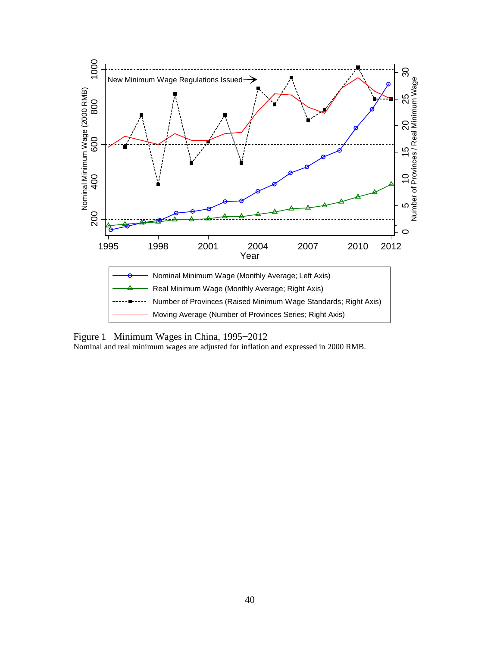

<span id="page-40-0"></span>Figure 1 Minimum Wages in China, 1995−2012 Nominal and real minimum wages are adjusted for inflation and expressed in 2000 RMB.